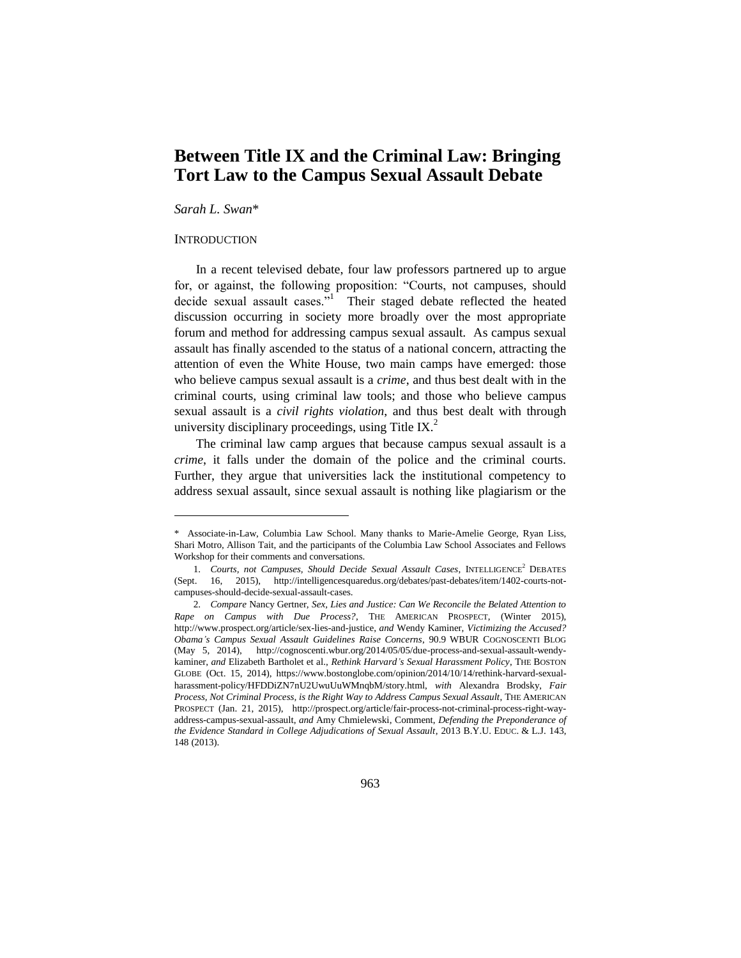# **Between Title IX and the Criminal Law: Bringing Tort Law to the Campus Sexual Assault Debate**

*Sarah L. Swan*\*

# **INTRODUCTION**

 $\overline{a}$ 

In a recent televised debate, four law professors partnered up to argue for, or against, the following proposition: "Courts, not campuses, should decide sexual assault cases."<sup>1</sup> Their staged debate reflected the heated discussion occurring in society more broadly over the most appropriate forum and method for addressing campus sexual assault. As campus sexual assault has finally ascended to the status of a national concern, attracting the attention of even the White House, two main camps have emerged: those who believe campus sexual assault is a *crime*, and thus best dealt with in the criminal courts, using criminal law tools; and those who believe campus sexual assault is a *civil rights violation*, and thus best dealt with through university disciplinary proceedings, using Title IX. $2$ 

The criminal law camp argues that because campus sexual assault is a *crime*, it falls under the domain of the police and the criminal courts. Further, they argue that universities lack the institutional competency to address sexual assault, since sexual assault is nothing like plagiarism or the

<sup>\*</sup> Associate-in-Law, Columbia Law School. Many thanks to Marie-Amelie George, Ryan Liss, Shari Motro, Allison Tait, and the participants of the Columbia Law School Associates and Fellows Workshop for their comments and conversations.

<sup>1.</sup> *Courts, not Campuses, Should Decide Sexual Assault Cases, INTELLIGENCE*<sup>2</sup> DEBATES (Sept. 16, 2015), http://intelligencesquaredus.org/debates/past-debates/item/1402-courts-notcampuses-should-decide-sexual-assault-cases.

<sup>2.</sup> *Compare* Nancy Gertner, *Sex, Lies and Justice: Can We Reconcile the Belated Attention to Rape on Campus with Due Process?*, THE AMERICAN PROSPECT, (Winter 2015), http://www.prospect.org/article/sex-lies-and-justice, *and* Wendy Kaminer, *Victimizing the Accused? Obama's Campus Sexual Assault Guidelines Raise Concerns*, 90.9 WBUR COGNOSCENTI BLOG (May 5, 2014), http://cognoscenti.wbur.org/2014/05/05/due-process-and-sexual-assault-wendykaminer, *and* Elizabeth Bartholet et al., *Rethink Harvard's Sexual Harassment Policy*, THE BOSTON GLOBE (Oct. 15, 2014), https://www.bostonglobe.com/opinion/2014/10/14/rethink-harvard-sexualharassment-policy/HFDDiZN7nU2UwuUuWMnqbM/story.html, *with* Alexandra Brodsky, *Fair Process, Not Criminal Process, is the Right Way to Address Campus Sexual Assault*, THE AMERICAN PROSPECT (Jan. 21, 2015), http://prospect.org/article/fair-process-not-criminal-process-right-wayaddress-campus-sexual-assault, *and* Amy Chmielewski, Comment, *Defending the Preponderance of the Evidence Standard in College Adjudications of Sexual Assault*, 2013 B.Y.U. EDUC. & L.J. 143, 148 (2013).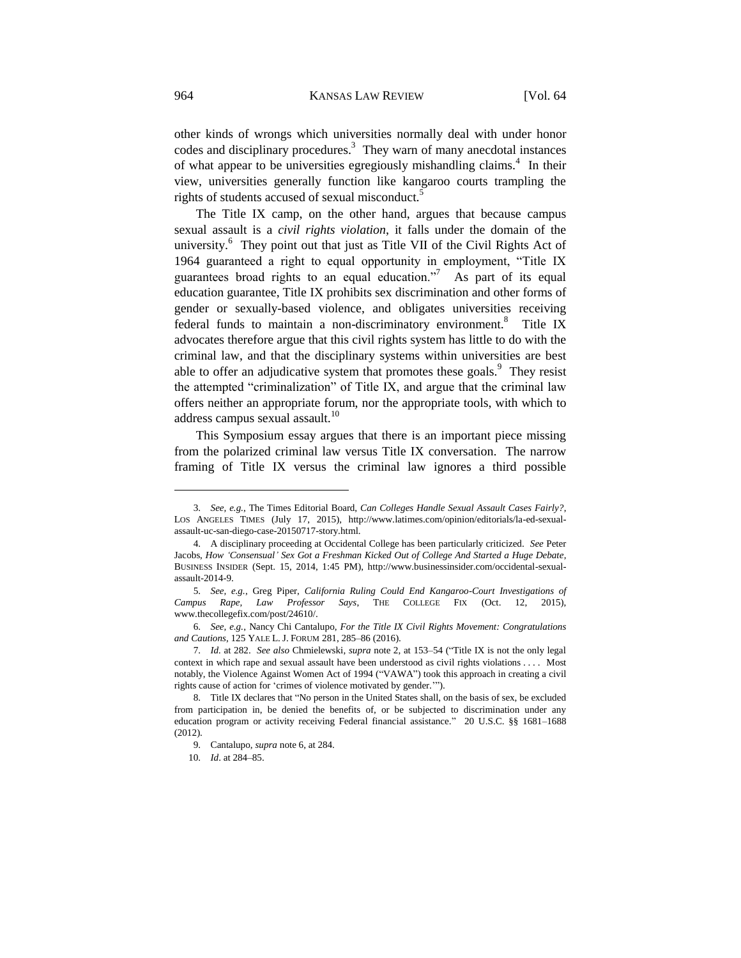other kinds of wrongs which universities normally deal with under honor codes and disciplinary procedures.<sup>3</sup> They warn of many anecdotal instances of what appear to be universities egregiously mishandling claims.<sup>4</sup> In their view, universities generally function like kangaroo courts trampling the rights of students accused of sexual misconduct.<sup>5</sup>

The Title IX camp, on the other hand, argues that because campus sexual assault is a *civil rights violation*, it falls under the domain of the university.<sup>6</sup> They point out that just as Title VII of the Civil Rights Act of 1964 guaranteed a right to equal opportunity in employment, "Title IX guarantees broad rights to an equal education. $\frac{1}{2}$  As part of its equal education guarantee, Title IX prohibits sex discrimination and other forms of gender or sexually-based violence, and obligates universities receiving federal funds to maintain a non-discriminatory environment.<sup>8</sup> Title IX advocates therefore argue that this civil rights system has little to do with the criminal law, and that the disciplinary systems within universities are best able to offer an adjudicative system that promotes these goals. $9$  They resist the attempted "criminalization" of Title IX, and argue that the criminal law offers neither an appropriate forum, nor the appropriate tools, with which to address campus sexual assault.<sup>10</sup>

This Symposium essay argues that there is an important piece missing from the polarized criminal law versus Title IX conversation. The narrow framing of Title IX versus the criminal law ignores a third possible

<sup>3.</sup> *See, e.g.*, The Times Editorial Board, *Can Colleges Handle Sexual Assault Cases Fairly?*, LOS ANGELES TIMES (July 17, 2015), http://www.latimes.com/opinion/editorials/la-ed-sexualassault-uc-san-diego-case-20150717-story.html.

<sup>4.</sup> A disciplinary proceeding at Occidental College has been particularly criticized. *See* Peter Jacobs, *How 'Consensual' Sex Got a Freshman Kicked Out of College And Started a Huge Debate*, BUSINESS INSIDER (Sept. 15, 2014, 1:45 PM), http://www.businessinsider.com/occidental-sexualassault-2014-9.

<sup>5.</sup> *See, e.g.*, Greg Piper, *California Ruling Could End Kangaroo-Court Investigations of Campus Rape, Law Professor Says*, THE COLLEGE FIX (Oct. 12, 2015), www.thecollegefix.com/post/24610/.

<sup>6.</sup> *See, e.g.*, Nancy Chi Cantalupo, *For the Title IX Civil Rights Movement: Congratulations and Cautions*, 125 YALE L. J. FORUM 281, 285–86 (2016).

<sup>7.</sup> *Id.* at 282. *See also* Chmielewski, *supra* note 2, at 153–54 ("Title IX is not the only legal context in which rape and sexual assault have been understood as civil rights violations . . . . Most notably, the Violence Against Women Act of 1994 ("VAWA") took this approach in creating a civil rights cause of action for 'crimes of violence motivated by gender.'").

<sup>8.</sup> Title IX declares that "No person in the United States shall, on the basis of sex, be excluded from participation in, be denied the benefits of, or be subjected to discrimination under any education program or activity receiving Federal financial assistance." 20 U.S.C. §§ 1681–1688 (2012).

<sup>9.</sup> Cantalupo, *supra* note 6, at 284.

<sup>10.</sup> *Id*. at 284–85.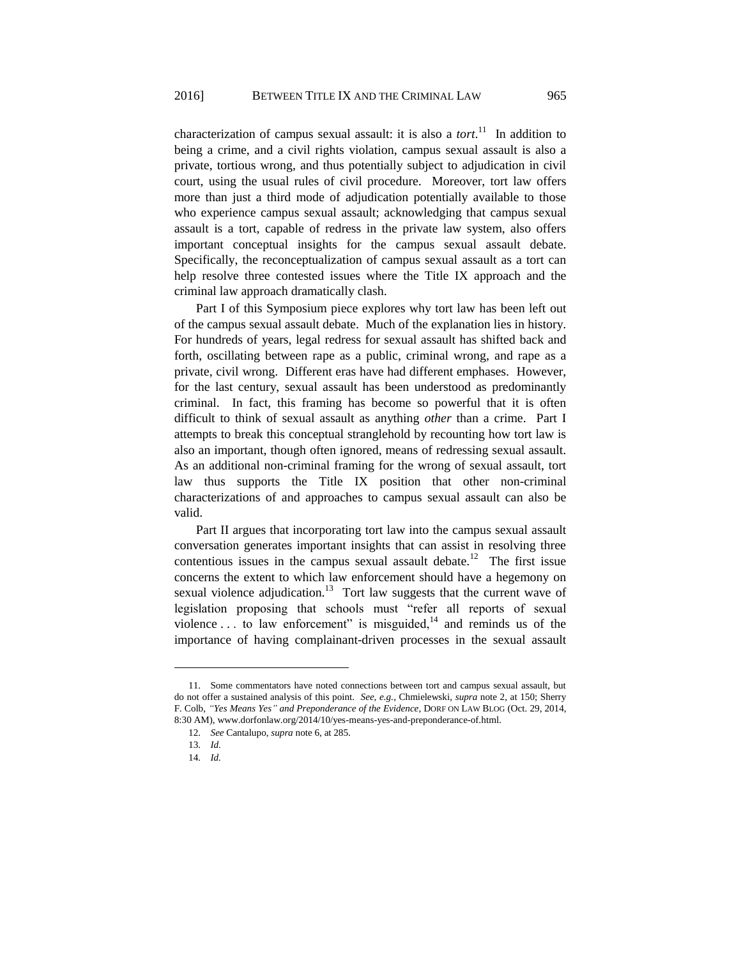characterization of campus sexual assault: it is also a *tort*. 11 In addition to being a crime, and a civil rights violation, campus sexual assault is also a private, tortious wrong, and thus potentially subject to adjudication in civil court, using the usual rules of civil procedure. Moreover, tort law offers more than just a third mode of adjudication potentially available to those who experience campus sexual assault; acknowledging that campus sexual assault is a tort, capable of redress in the private law system, also offers important conceptual insights for the campus sexual assault debate. Specifically, the reconceptualization of campus sexual assault as a tort can help resolve three contested issues where the Title IX approach and the criminal law approach dramatically clash.

Part I of this Symposium piece explores why tort law has been left out of the campus sexual assault debate. Much of the explanation lies in history. For hundreds of years, legal redress for sexual assault has shifted back and forth, oscillating between rape as a public, criminal wrong, and rape as a private, civil wrong. Different eras have had different emphases. However, for the last century, sexual assault has been understood as predominantly criminal. In fact, this framing has become so powerful that it is often difficult to think of sexual assault as anything *other* than a crime. Part I attempts to break this conceptual stranglehold by recounting how tort law is also an important, though often ignored, means of redressing sexual assault. As an additional non-criminal framing for the wrong of sexual assault, tort law thus supports the Title IX position that other non-criminal characterizations of and approaches to campus sexual assault can also be valid.

Part II argues that incorporating tort law into the campus sexual assault conversation generates important insights that can assist in resolving three contentious issues in the campus sexual assault debate.<sup>12</sup> The first issue concerns the extent to which law enforcement should have a hegemony on sexual violence adjudication.<sup>13</sup> Tort law suggests that the current wave of legislation proposing that schools must "refer all reports of sexual violence  $\dots$  to law enforcement" is misguided,<sup>14</sup> and reminds us of the importance of having complainant-driven processes in the sexual assault

<sup>11.</sup> Some commentators have noted connections between tort and campus sexual assault, but do not offer a sustained analysis of this point. *See, e.g.*, Chmielewski, *supra* note 2, at 150; Sherry F. Colb, *"Yes Means Yes" and Preponderance of the Evidence*, DORF ON LAW BLOG (Oct. 29, 2014, 8:30 AM), www.dorfonlaw.org/2014/10/yes-means-yes-and-preponderance-of.html.

<sup>12.</sup> *See* Cantalupo, *supra* note 6, at 285.

<sup>13.</sup> *Id.* 

<sup>14.</sup> *Id.*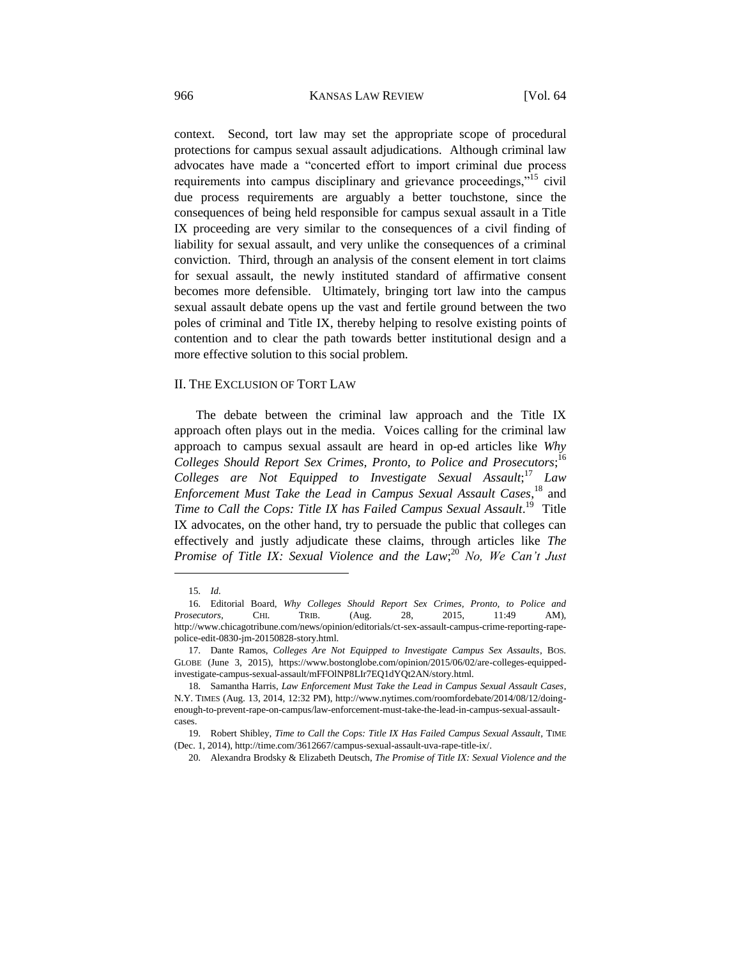context. Second, tort law may set the appropriate scope of procedural protections for campus sexual assault adjudications. Although criminal law advocates have made a "concerted effort to import criminal due process requirements into campus disciplinary and grievance proceedings,"<sup>15</sup> civil due process requirements are arguably a better touchstone, since the consequences of being held responsible for campus sexual assault in a Title IX proceeding are very similar to the consequences of a civil finding of liability for sexual assault, and very unlike the consequences of a criminal conviction. Third, through an analysis of the consent element in tort claims for sexual assault, the newly instituted standard of affirmative consent becomes more defensible. Ultimately, bringing tort law into the campus sexual assault debate opens up the vast and fertile ground between the two poles of criminal and Title IX, thereby helping to resolve existing points of contention and to clear the path towards better institutional design and a more effective solution to this social problem.

#### II. THE EXCLUSION OF TORT LAW

The debate between the criminal law approach and the Title IX approach often plays out in the media. Voices calling for the criminal law approach to campus sexual assault are heard in op-ed articles like *Why Colleges Should Report Sex Crimes, Pronto, to Police and Prosecutors*; 16 *Colleges are Not Equipped to Investigate Sexual Assault*; <sup>17</sup> *Law Enforcement Must Take the Lead in Campus Sexual Assault Cases*, <sup>18</sup> and Time to Call the Cops: Title IX has Failed Campus Sexual Assault.<sup>19</sup> Title IX advocates, on the other hand, try to persuade the public that colleges can effectively and justly adjudicate these claims, through articles like *The Promise of Title IX: Sexual Violence and the Law*; <sup>20</sup> *No, We Can't Just* 

<sup>15.</sup> *Id.*

<sup>16.</sup> Editorial Board, *Why Colleges Should Report Sex Crimes, Pronto, to Police and Prosecutors*, CHI. TRIB. (Aug. 28, 2015, 11:49 AM), http://www.chicagotribune.com/news/opinion/editorials/ct-sex-assault-campus-crime-reporting-rapepolice-edit-0830-jm-20150828-story.html.

<sup>17.</sup> Dante Ramos, *Colleges Are Not Equipped to Investigate Campus Sex Assaults*, BOS. GLOBE (June 3, 2015), https://www.bostonglobe.com/opinion/2015/06/02/are-colleges-equippedinvestigate-campus-sexual-assault/mFFOlNP8LIr7EQ1dYQt2AN/story.html.

<sup>18.</sup> Samantha Harris, *Law Enforcement Must Take the Lead in Campus Sexual Assault Cases*, N.Y. TIMES (Aug. 13, 2014, 12:32 PM), http://www.nytimes.com/roomfordebate/2014/08/12/doingenough-to-prevent-rape-on-campus/law-enforcement-must-take-the-lead-in-campus-sexual-assaultcases.

<sup>19.</sup> Robert Shibley, *Time to Call the Cops: Title IX Has Failed Campus Sexual Assault*, TIME (Dec. 1, 2014), http://time.com/3612667/campus-sexual-assault-uva-rape-title-ix/.

<sup>20.</sup> Alexandra Brodsky & Elizabeth Deutsch, *The Promise of Title IX: Sexual Violence and the*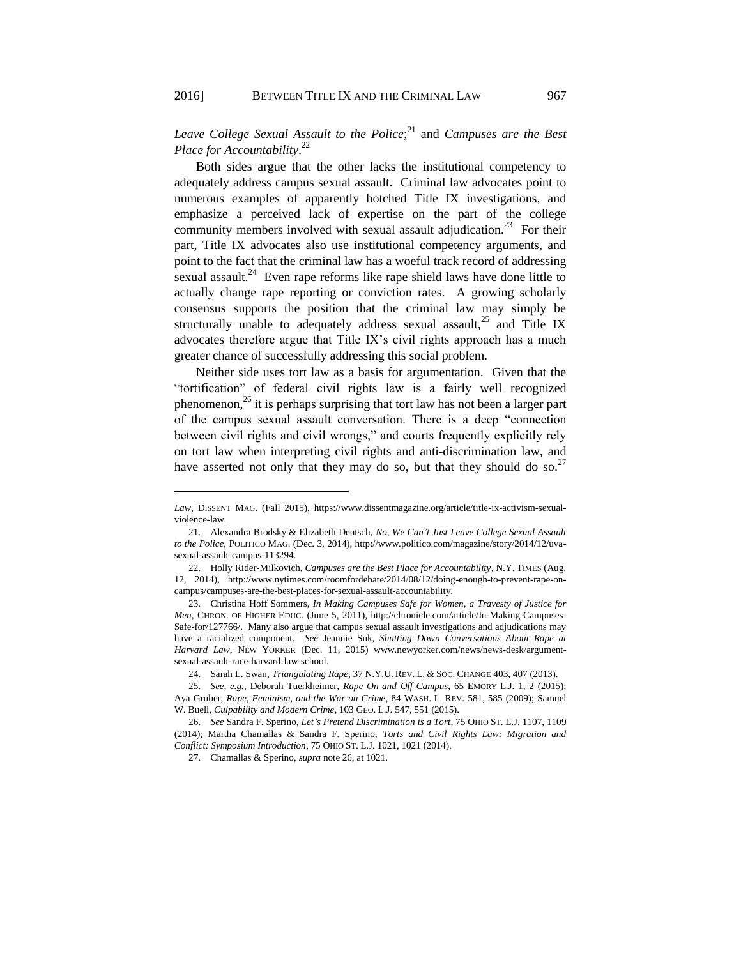*Leave College Sexual Assault to the Police*; <sup>21</sup> and *Campuses are the Best Place for Accountability*. 22

Both sides argue that the other lacks the institutional competency to adequately address campus sexual assault. Criminal law advocates point to numerous examples of apparently botched Title IX investigations, and emphasize a perceived lack of expertise on the part of the college community members involved with sexual assault adjudication.<sup>23</sup> For their part, Title IX advocates also use institutional competency arguments, and point to the fact that the criminal law has a woeful track record of addressing sexual assault.<sup>24</sup> Even rape reforms like rape shield laws have done little to actually change rape reporting or conviction rates. A growing scholarly consensus supports the position that the criminal law may simply be structurally unable to adequately address sexual assault,<sup>25</sup> and Title IX advocates therefore argue that Title IX's civil rights approach has a much greater chance of successfully addressing this social problem.

Neither side uses tort law as a basis for argumentation. Given that the "tortification" of federal civil rights law is a fairly well recognized phenomenon,<sup>26</sup> it is perhaps surprising that tort law has not been a larger part of the campus sexual assault conversation. There is a deep "connection between civil rights and civil wrongs," and courts frequently explicitly rely on tort law when interpreting civil rights and anti-discrimination law, and have asserted not only that they may do so, but that they should do so.<sup>27</sup>

*Law*, DISSENT MAG. (Fall 2015), https://www.dissentmagazine.org/article/title-ix-activism-sexualviolence-law.

<sup>21.</sup> Alexandra Brodsky & Elizabeth Deutsch, *No, We Can't Just Leave College Sexual Assault to the Police*, POLITICO MAG. (Dec. 3, 2014), http://www.politico.com/magazine/story/2014/12/uvasexual-assault-campus-113294.

<sup>22.</sup> Holly Rider-Milkovich, *Campuses are the Best Place for Accountability*, N.Y. TIMES (Aug. 12, 2014), http://www.nytimes.com/roomfordebate/2014/08/12/doing-enough-to-prevent-rape-oncampus/campuses-are-the-best-places-for-sexual-assault-accountability.

<sup>23.</sup> Christina Hoff Sommers, *In Making Campuses Safe for Women, a Travesty of Justice for Men*, CHRON. OF HIGHER EDUC. (June 5, 2011), http://chronicle.com/article/In-Making-Campuses-Safe-for/127766/. Many also argue that campus sexual assault investigations and adjudications may have a racialized component. *See* Jeannie Suk, *Shutting Down Conversations About Rape at Harvard Law*, NEW YORKER (Dec. 11, 2015) www.newyorker.com/news/news-desk/argumentsexual-assault-race-harvard-law-school.

<sup>24.</sup> Sarah L. Swan, *Triangulating Rape*, 37 N.Y.U. REV. L. & SOC. CHANGE 403, 407 (2013).

<sup>25.</sup> *See, e.g.*, Deborah Tuerkheimer, *Rape On and Off Campus*, 65 EMORY L.J. 1, 2 (2015); Aya Gruber, *Rape, Feminism, and the War on Crime*, 84 WASH. L. REV. 581, 585 (2009); Samuel W. Buell, *Culpability and Modern Crime*, 103 GEO. L.J. 547, 551 (2015).

<sup>26.</sup> *See* Sandra F. Sperino, *Let's Pretend Discrimination is a Tort*, 75 OHIO ST. L.J. 1107, 1109 (2014); Martha Chamallas & Sandra F. Sperino, *Torts and Civil Rights Law: Migration and Conflict: Symposium Introduction*, 75 OHIO ST. L.J. 1021, 1021 (2014).

<sup>27.</sup> Chamallas & Sperino, *supra* note 26, at 1021.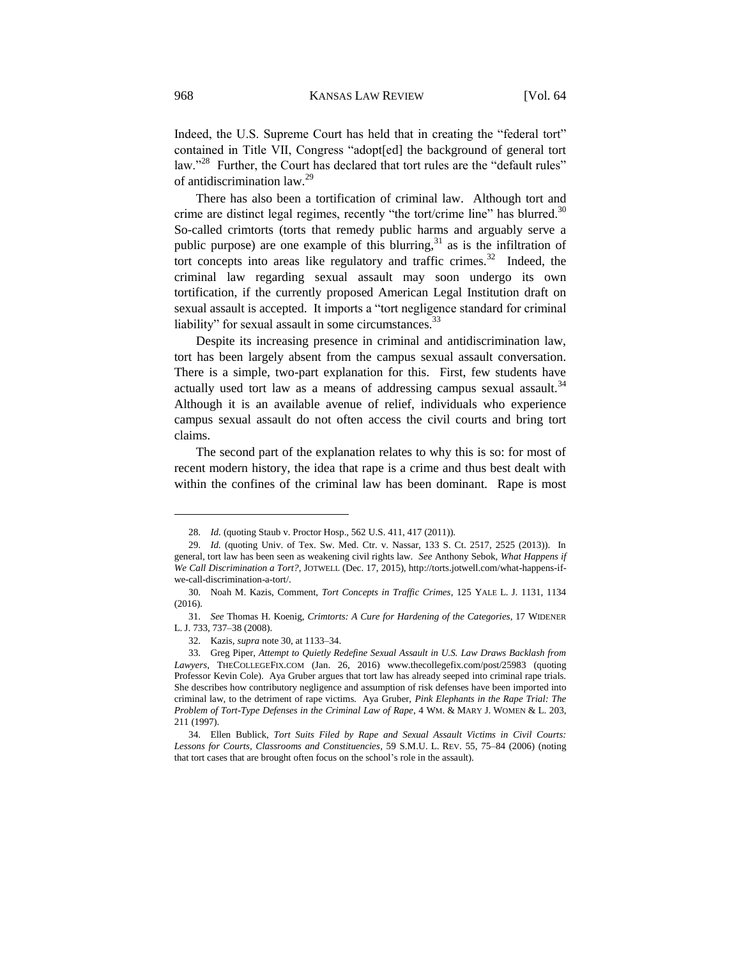Indeed, the U.S. Supreme Court has held that in creating the "federal tort" contained in Title VII, Congress "adopt[ed] the background of general tort law."<sup>28</sup> Further, the Court has declared that tort rules are the "default rules" of antidiscrimination law.<sup>29</sup>

There has also been a tortification of criminal law. Although tort and crime are distinct legal regimes, recently "the tort/crime line" has blurred. $30$ So-called crimtorts (torts that remedy public harms and arguably serve a public purpose) are one example of this blurring,  $31$  as is the infiltration of tort concepts into areas like regulatory and traffic crimes. $32$  Indeed, the criminal law regarding sexual assault may soon undergo its own tortification, if the currently proposed American Legal Institution draft on sexual assault is accepted. It imports a "tort negligence standard for criminal liability" for sexual assault in some circumstances.<sup>33</sup>

Despite its increasing presence in criminal and antidiscrimination law, tort has been largely absent from the campus sexual assault conversation. There is a simple, two-part explanation for this. First, few students have actually used tort law as a means of addressing campus sexual assault. $34$ Although it is an available avenue of relief, individuals who experience campus sexual assault do not often access the civil courts and bring tort claims.

The second part of the explanation relates to why this is so: for most of recent modern history, the idea that rape is a crime and thus best dealt with within the confines of the criminal law has been dominant. Rape is most

<sup>28.</sup> *Id.* (quoting Staub v. Proctor Hosp., 562 U.S. 411, 417 (2011)).

<sup>29.</sup> *Id.* (quoting Univ. of Tex. Sw. Med. Ctr. v. Nassar, 133 S. Ct. 2517, 2525 (2013)). In general, tort law has been seen as weakening civil rights law. *See* Anthony Sebok, *What Happens if We Call Discrimination a Tort?*, JOTWELL (Dec. 17, 2015), http://torts.jotwell.com/what-happens-ifwe-call-discrimination-a-tort/.

<sup>30.</sup> Noah M. Kazis, Comment, *Tort Concepts in Traffic Crimes*, 125 YALE L. J. 1131, 1134 (2016).

<sup>31.</sup> *See* Thomas H. Koenig, *Crimtorts: A Cure for Hardening of the Categories*, 17 WIDENER L. J. 733, 737–38 (2008).

<sup>32.</sup> Kazis, *supra* note 30, at 1133–34.

<sup>33.</sup> Greg Piper, *Attempt to Quietly Redefine Sexual Assault in U.S. Law Draws Backlash from Lawyers*, THECOLLEGEFIX.COM (Jan. 26, 2016) [www.thecollegefix.com/post/25983](http://www.thecollegefix.com/post/25983) (quoting Professor Kevin Cole). Aya Gruber argues that tort law has already seeped into criminal rape trials. She describes how contributory negligence and assumption of risk defenses have been imported into criminal law, to the detriment of rape victims. Aya Gruber, *Pink Elephants in the Rape Trial: The Problem of Tort-Type Defenses in the Criminal Law of Rape*, 4 WM. & MARY J. WOMEN & L. 203, 211 (1997).

<sup>34.</sup> Ellen Bublick, *Tort Suits Filed by Rape and Sexual Assault Victims in Civil Courts: Lessons for Courts, Classrooms and Constituencies*, 59 S.M.U. L. REV. 55, 75–84 (2006) (noting that tort cases that are brought often focus on the school's role in the assault).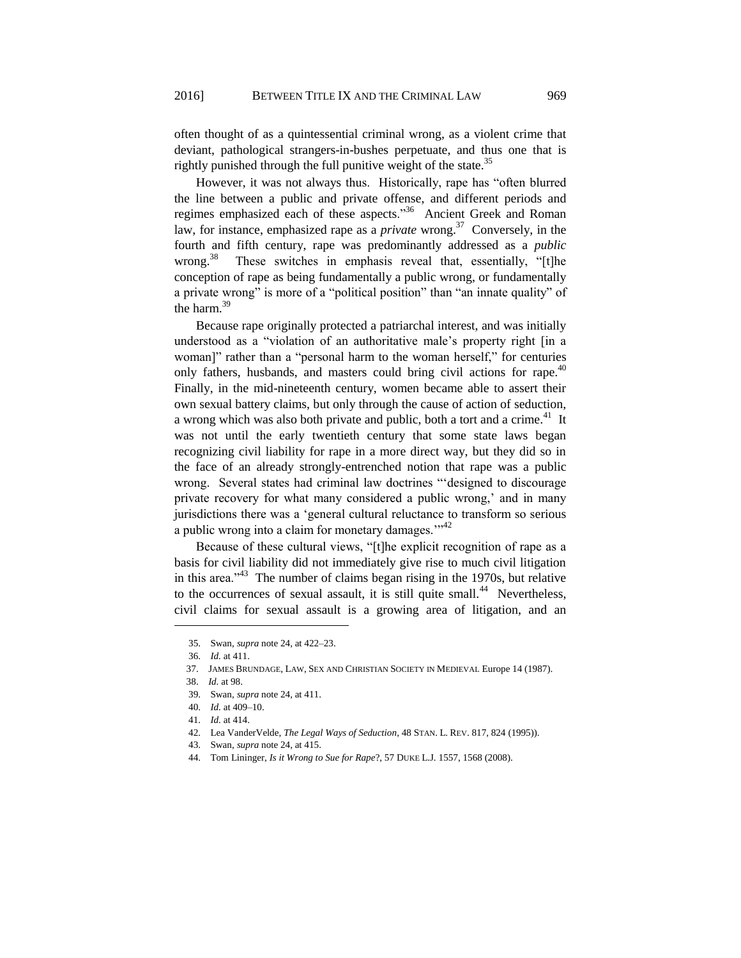often thought of as a quintessential criminal wrong, as a violent crime that deviant, pathological strangers-in-bushes perpetuate, and thus one that is rightly punished through the full punitive weight of the state.<sup>35</sup>

However, it was not always thus. Historically, rape has "often blurred the line between a public and private offense, and different periods and regimes emphasized each of these aspects."<sup>36</sup> Ancient Greek and Roman law, for instance, emphasized rape as a *private* wrong. 37 Conversely, in the fourth and fifth century, rape was predominantly addressed as a *public* wrong. 38 These switches in emphasis reveal that, essentially, "[t]he conception of rape as being fundamentally a public wrong, or fundamentally a private wrong" is more of a "political position" than "an innate quality" of the harm.<sup>39</sup>

Because rape originally protected a patriarchal interest, and was initially understood as a "violation of an authoritative male's property right [in a woman]" rather than a "personal harm to the woman herself," for centuries only fathers, husbands, and masters could bring civil actions for rape.<sup>40</sup> Finally, in the mid-nineteenth century, women became able to assert their own sexual battery claims, but only through the cause of action of seduction, a wrong which was also both private and public, both a tort and a crime.<sup>41</sup> It was not until the early twentieth century that some state laws began recognizing civil liability for rape in a more direct way, but they did so in the face of an already strongly-entrenched notion that rape was a public wrong. Several states had criminal law doctrines "'designed to discourage private recovery for what many considered a public wrong,' and in many jurisdictions there was a 'general cultural reluctance to transform so serious a public wrong into a claim for monetary damages."<sup>42</sup>

Because of these cultural views, "[t]he explicit recognition of rape as a basis for civil liability did not immediately give rise to much civil litigation in this area.<sup> $343$ </sup> The number of claims began rising in the 1970s, but relative to the occurrences of sexual assault, it is still quite small.<sup>44</sup> Nevertheless, civil claims for sexual assault is a growing area of litigation, and an

<sup>35.</sup> Swan, *supra* note 24, at 422–23.

<sup>36.</sup> *Id.* at 411.

 <sup>37.</sup> JAMES BRUNDAGE, LAW, SEX AND CHRISTIAN SOCIETY IN MEDIEVAL Europe 14 (1987).

 <sup>38.</sup> *Id.* at 98.

<sup>39.</sup> Swan, *supra* note 24, at 411.

<sup>40.</sup> *Id.* at 409–10.

<sup>41.</sup> *Id.* at 414.

<sup>42.</sup> Lea VanderVelde, *The Legal Ways of Seduction*, 48 STAN. L. REV. 817, 824 (1995)).

<sup>43.</sup> Swan, *supra* note 24, at 415.

<sup>44.</sup> Tom Lininger, *Is it Wrong to Sue for Rape*?, 57 DUKE L.J. 1557, 1568 (2008).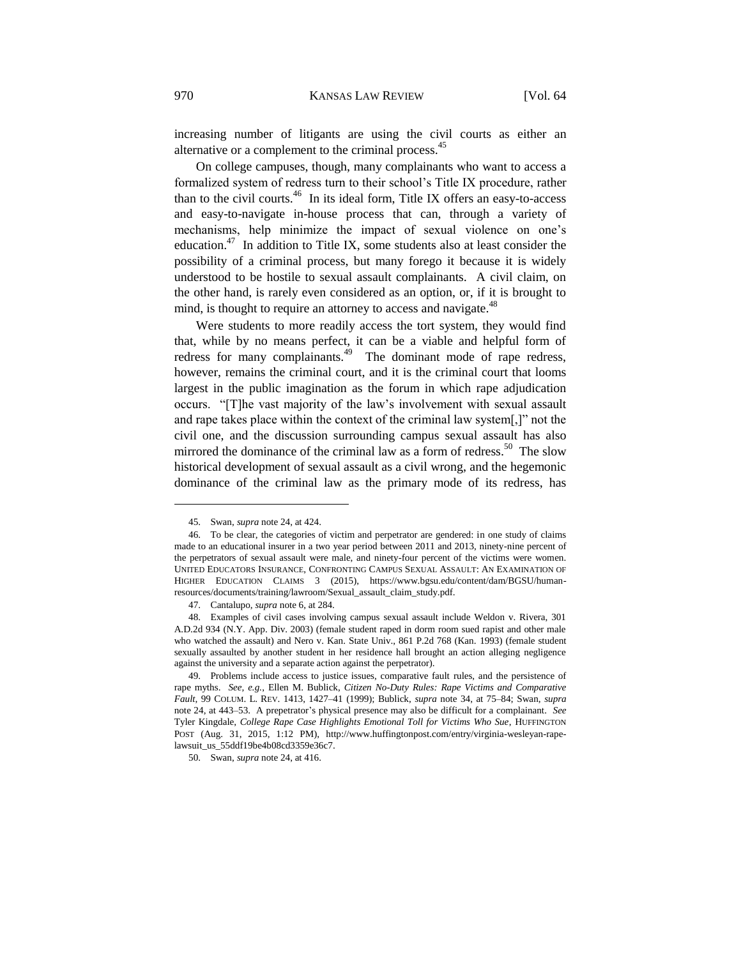increasing number of litigants are using the civil courts as either an alternative or a complement to the criminal process.<sup>45</sup>

On college campuses, though, many complainants who want to access a formalized system of redress turn to their school's Title IX procedure, rather than to the civil courts.<sup>46</sup> In its ideal form, Title IX offers an easy-to-access and easy-to-navigate in-house process that can, through a variety of mechanisms, help minimize the impact of sexual violence on one's education.<sup>47</sup> In addition to Title IX, some students also at least consider the possibility of a criminal process, but many forego it because it is widely understood to be hostile to sexual assault complainants. A civil claim, on the other hand, is rarely even considered as an option, or, if it is brought to mind, is thought to require an attorney to access and navigate.<sup>48</sup>

Were students to more readily access the tort system, they would find that, while by no means perfect, it can be a viable and helpful form of redress for many complainants.<sup>49</sup> The dominant mode of rape redress, however, remains the criminal court, and it is the criminal court that looms largest in the public imagination as the forum in which rape adjudication occurs. "[T]he vast majority of the law's involvement with sexual assault and rape takes place within the context of the criminal law system[,]" not the civil one, and the discussion surrounding campus sexual assault has also mirrored the dominance of the criminal law as a form of redress.<sup>50</sup> The slow historical development of sexual assault as a civil wrong, and the hegemonic dominance of the criminal law as the primary mode of its redress, has

<sup>45.</sup> Swan, *supra* note 24, at 424.

<sup>46.</sup> To be clear, the categories of victim and perpetrator are gendered: in one study of claims made to an educational insurer in a two year period between 2011 and 2013, ninety-nine percent of the perpetrators of sexual assault were male, and ninety-four percent of the victims were women. UNITED EDUCATORS INSURANCE, CONFRONTING CAMPUS SEXUAL ASSAULT: AN EXAMINATION OF HIGHER EDUCATION CLAIMS 3 (2015), https://www.bgsu.edu/content/dam/BGSU/humanresources/documents/training/lawroom/Sexual\_assault\_claim\_study.pdf.

<sup>47.</sup> Cantalupo, *supra* note 6, at 284.

<sup>48.</sup> Examples of civil cases involving campus sexual assault include Weldon v. Rivera, 301 A.D.2d 934 (N.Y. App. Div. 2003) (female student raped in dorm room sued rapist and other male who watched the assault) and Nero v. Kan. State Univ., 861 P.2d 768 (Kan. 1993) (female student sexually assaulted by another student in her residence hall brought an action alleging negligence against the university and a separate action against the perpetrator).

<sup>49.</sup> Problems include access to justice issues, comparative fault rules, and the persistence of rape myths. *See, e.g.*, Ellen M. Bublick, *Citizen No-Duty Rules: Rape Victims and Comparative Fault*, 99 COLUM. L. REV. 1413, 1427–41 (1999); Bublick, *supra* note 34, at 75–84; Swan, *supra* note 24, at 443–53. A prepetrator's physical presence may also be difficult for a complainant. *See* Tyler Kingdale, *College Rape Case Highlights Emotional Toll for Victims Who Sue*, HUFFINGTON POST (Aug. 31, 2015, 1:12 PM), [http://www.huffingtonpost.com/entry/virginia-wesleyan-rape](http://www.huffingtonpost.com/entry/virginia-wesleyan-rape-lawsuit_us_55ddf19be4b08cd3359e36c7)[lawsuit\\_us\\_55ddf19be4b08cd3359e36c7.](http://www.huffingtonpost.com/entry/virginia-wesleyan-rape-lawsuit_us_55ddf19be4b08cd3359e36c7)

<sup>50.</sup> Swan, *supra* note 24, at 416.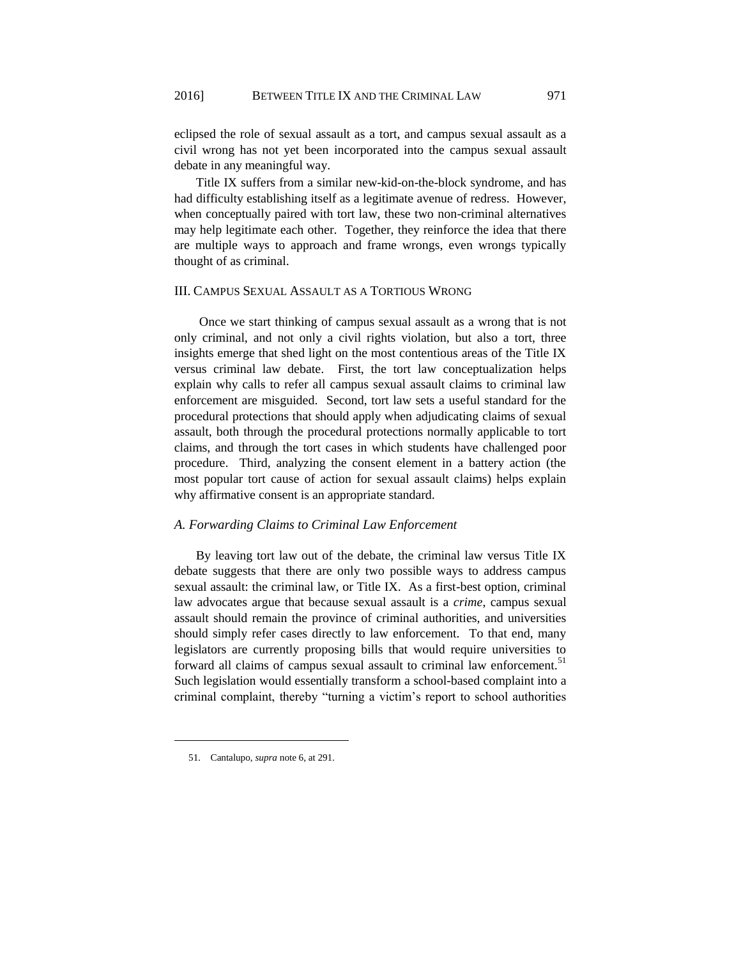eclipsed the role of sexual assault as a tort, and campus sexual assault as a civil wrong has not yet been incorporated into the campus sexual assault debate in any meaningful way.

Title IX suffers from a similar new-kid-on-the-block syndrome, and has had difficulty establishing itself as a legitimate avenue of redress. However, when conceptually paired with tort law, these two non-criminal alternatives may help legitimate each other. Together, they reinforce the idea that there are multiple ways to approach and frame wrongs, even wrongs typically thought of as criminal.

#### III. CAMPUS SEXUAL ASSAULT AS A TORTIOUS WRONG

Once we start thinking of campus sexual assault as a wrong that is not only criminal, and not only a civil rights violation, but also a tort, three insights emerge that shed light on the most contentious areas of the Title IX versus criminal law debate. First, the tort law conceptualization helps explain why calls to refer all campus sexual assault claims to criminal law enforcement are misguided. Second, tort law sets a useful standard for the procedural protections that should apply when adjudicating claims of sexual assault, both through the procedural protections normally applicable to tort claims, and through the tort cases in which students have challenged poor procedure. Third, analyzing the consent element in a battery action (the most popular tort cause of action for sexual assault claims) helps explain why affirmative consent is an appropriate standard.

# *A. Forwarding Claims to Criminal Law Enforcement*

By leaving tort law out of the debate, the criminal law versus Title IX debate suggests that there are only two possible ways to address campus sexual assault: the criminal law, or Title IX. As a first-best option, criminal law advocates argue that because sexual assault is a *crime*, campus sexual assault should remain the province of criminal authorities, and universities should simply refer cases directly to law enforcement. To that end, many legislators are currently proposing bills that would require universities to forward all claims of campus sexual assault to criminal law enforcement.<sup>51</sup> Such legislation would essentially transform a school-based complaint into a criminal complaint, thereby "turning a victim's report to school authorities

<sup>51.</sup> Cantalupo, *supra* note 6, at 291.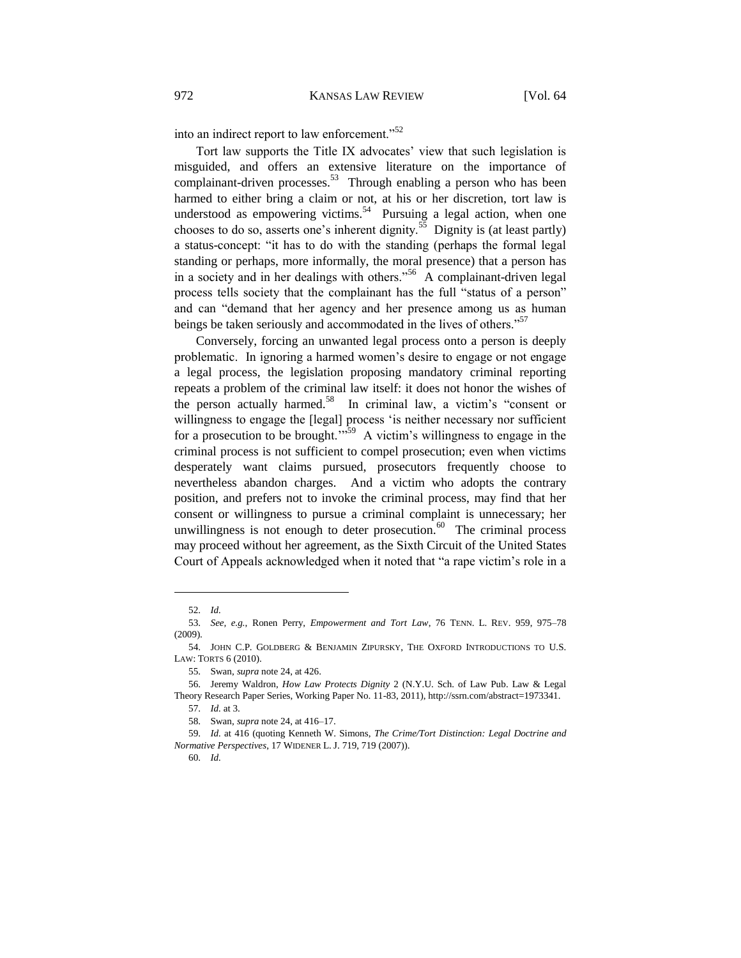into an indirect report to law enforcement."<sup>52</sup>

Tort law supports the Title IX advocates' view that such legislation is misguided, and offers an extensive literature on the importance of complainant-driven processes.<sup>53</sup> Through enabling a person who has been harmed to either bring a claim or not, at his or her discretion, tort law is understood as empowering victims.<sup>54</sup> Pursuing a legal action, when one chooses to do so, asserts one's inherent dignity.<sup>55</sup> Dignity is (at least partly) a status-concept: "it has to do with the standing (perhaps the formal legal standing or perhaps, more informally, the moral presence) that a person has in a society and in her dealings with others."<sup>56</sup> A complainant-driven legal process tells society that the complainant has the full "status of a person" and can "demand that her agency and her presence among us as human beings be taken seriously and accommodated in the lives of others."<sup>57</sup>

Conversely, forcing an unwanted legal process onto a person is deeply problematic. In ignoring a harmed women's desire to engage or not engage a legal process, the legislation proposing mandatory criminal reporting repeats a problem of the criminal law itself: it does not honor the wishes of the person actually harmed.<sup>58</sup> In criminal law, a victim's "consent or willingness to engage the [legal] process 'is neither necessary nor sufficient for a prosecution to be brought.<sup> $m59$ </sup> A victim's willingness to engage in the criminal process is not sufficient to compel prosecution; even when victims desperately want claims pursued, prosecutors frequently choose to nevertheless abandon charges. And a victim who adopts the contrary position, and prefers not to invoke the criminal process, may find that her consent or willingness to pursue a criminal complaint is unnecessary; her unwillingness is not enough to deter prosecution.<sup>60</sup> The criminal process may proceed without her agreement, as the Sixth Circuit of the United States Court of Appeals acknowledged when it noted that "a rape victim's role in a

<sup>52.</sup> *Id.*

<sup>53.</sup> *See, e.g.*, Ronen Perry, *Empowerment and Tort Law*, 76 TENN. L. REV. 959, 975–78 (2009).

<sup>54.</sup> JOHN C.P. GOLDBERG & BENJAMIN ZIPURSKY, THE OXFORD INTRODUCTIONS TO U.S. LAW: TORTS 6 (2010).

<sup>55.</sup> Swan, *supra* note 24, at 426.

<sup>56.</sup> Jeremy Waldron, *How Law Protects Dignity* 2 (N.Y.U. Sch. of Law Pub. Law & Legal Theory Research Paper Series, Working Paper No. 11-83, 2011), http://ssrn.com/abstract=1973341.

<sup>57.</sup> *Id.* at 3.

<sup>58.</sup> Swan, *supra* note 24, at 416–17.

<sup>59.</sup> *Id.* at 416 (quoting Kenneth W. Simons, *The Crime/Tort Distinction: Legal Doctrine and Normative Perspectives*, 17 WIDENER L. J. 719, 719 (2007)).

<sup>60.</sup> *Id.*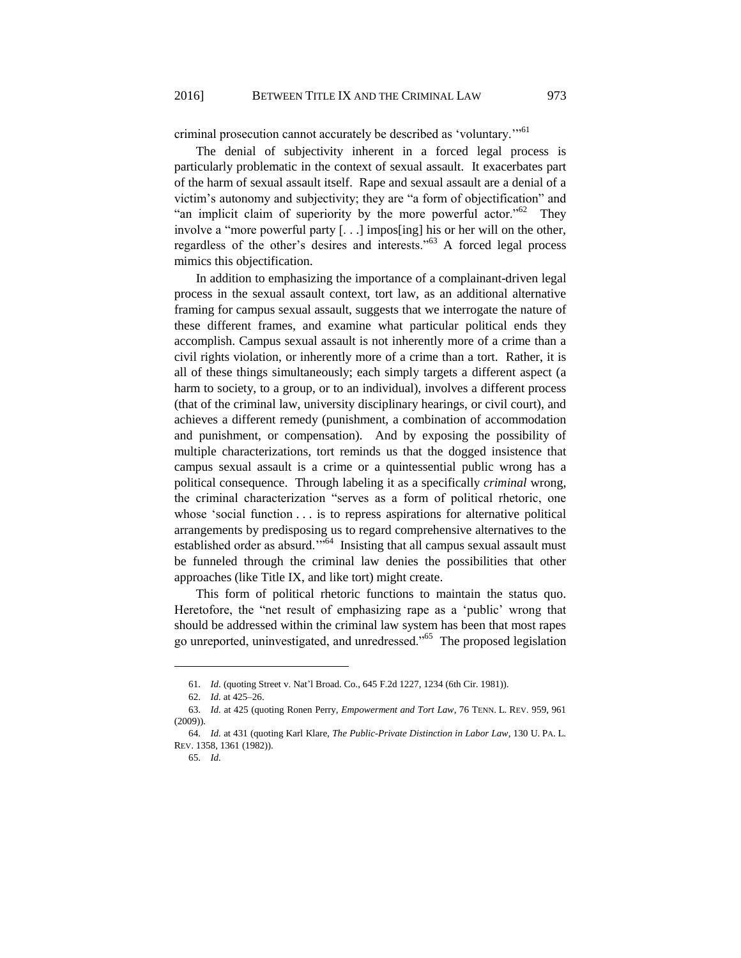criminal prosecution cannot accurately be described as 'voluntary."<sup>61</sup>

The denial of subjectivity inherent in a forced legal process is particularly problematic in the context of sexual assault. It exacerbates part of the harm of sexual assault itself. Rape and sexual assault are a denial of a victim's autonomy and subjectivity; they are "a form of objectification" and "an implicit claim of superiority by the more powerful actor."<sup>62</sup> They involve a "more powerful party [. . .] impos[ing] his or her will on the other, regardless of the other's desires and interests."<sup>63</sup> A forced legal process mimics this objectification.

In addition to emphasizing the importance of a complainant-driven legal process in the sexual assault context, tort law, as an additional alternative framing for campus sexual assault, suggests that we interrogate the nature of these different frames, and examine what particular political ends they accomplish. Campus sexual assault is not inherently more of a crime than a civil rights violation, or inherently more of a crime than a tort. Rather, it is all of these things simultaneously; each simply targets a different aspect (a harm to society, to a group, or to an individual), involves a different process (that of the criminal law, university disciplinary hearings, or civil court), and achieves a different remedy (punishment, a combination of accommodation and punishment, or compensation). And by exposing the possibility of multiple characterizations, tort reminds us that the dogged insistence that campus sexual assault is a crime or a quintessential public wrong has a political consequence. Through labeling it as a specifically *criminal* wrong, the criminal characterization "serves as a form of political rhetoric, one whose 'social function . . . is to repress aspirations for alternative political arrangements by predisposing us to regard comprehensive alternatives to the established order as absurd."<sup>64</sup> Insisting that all campus sexual assault must be funneled through the criminal law denies the possibilities that other approaches (like Title IX, and like tort) might create.

This form of political rhetoric functions to maintain the status quo. Heretofore, the "net result of emphasizing rape as a 'public' wrong that should be addressed within the criminal law system has been that most rapes go unreported, uninvestigated, and unredressed."<sup>65</sup> The proposed legislation

<sup>61.</sup> *Id.* (quoting Street v. Nat'l Broad. Co., 645 F.2d 1227, 1234 (6th Cir. 1981)).

<sup>62.</sup> *Id.* at 425–26.

<sup>63.</sup> *Id.* at 425 (quoting Ronen Perry, *Empowerment and Tort Law*, 76 TENN. L. REV. 959, 961 (2009)).

<sup>64.</sup> *Id.* at 431 (quoting Karl Klare, *The Public-Private Distinction in Labor Law*, 130 U. PA. L. REV. 1358, 1361 (1982)).

<sup>65.</sup> *Id.*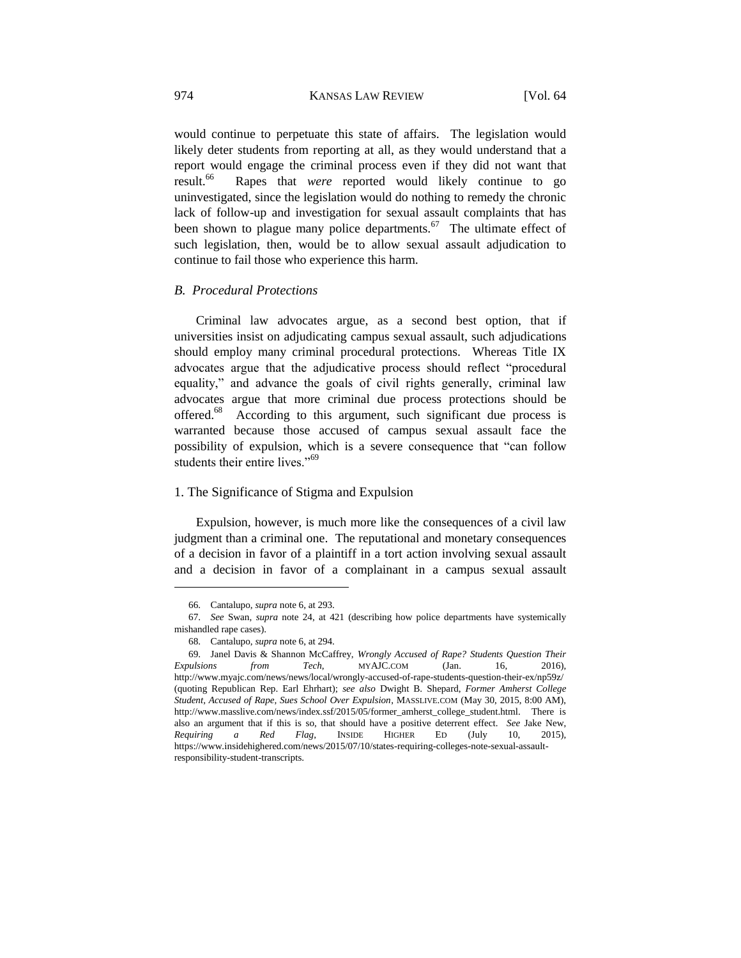would continue to perpetuate this state of affairs. The legislation would likely deter students from reporting at all, as they would understand that a report would engage the criminal process even if they did not want that result.<sup>66</sup> Rapes that *were* reported would likely continue to go uninvestigated, since the legislation would do nothing to remedy the chronic lack of follow-up and investigation for sexual assault complaints that has been shown to plague many police departments.<sup>67</sup> The ultimate effect of such legislation, then, would be to allow sexual assault adjudication to continue to fail those who experience this harm.

#### *B. Procedural Protections*

Criminal law advocates argue, as a second best option, that if universities insist on adjudicating campus sexual assault, such adjudications should employ many criminal procedural protections. Whereas Title IX advocates argue that the adjudicative process should reflect "procedural equality," and advance the goals of civil rights generally, criminal law advocates argue that more criminal due process protections should be offered.<sup>68</sup> According to this argument, such significant due process is warranted because those accused of campus sexual assault face the possibility of expulsion, which is a severe consequence that "can follow students their entire lives."<sup>69</sup>

# 1. The Significance of Stigma and Expulsion

Expulsion, however, is much more like the consequences of a civil law judgment than a criminal one. The reputational and monetary consequences of a decision in favor of a plaintiff in a tort action involving sexual assault and a decision in favor of a complainant in a campus sexual assault

<sup>66.</sup> Cantalupo, *supra* note 6, at 293.

<sup>67.</sup> *See* Swan, *supra* note 24, at 421 (describing how police departments have systemically mishandled rape cases).

<sup>68.</sup> Cantalupo, *supra* note 6, at 294.

<sup>69.</sup> Janel Davis & Shannon McCaffrey, *Wrongly Accused of Rape? Students Question Their Expulsions from Tech*, MYAJC.COM (Jan. 16, 2016), <http://www.myajc.com/news/news/local/wrongly-accused-of-rape-students-question-their-ex/np59z/> (quoting Republican Rep. Earl Ehrhart); *see also* Dwight B. Shepard, *Former Amherst College Student, Accused of Rape, Sues School Over Expulsion*, MASSLIVE.COM (May 30, 2015, 8:00 AM), http://www.masslive.com/news/index.ssf/2015/05/former\_amherst\_college\_student.html. There is also an argument that if this is so, that should have a positive deterrent effect. *See* Jake New, *Requiring a Red Flag*, INSIDE HIGHER ED (July 10, 2015), https://www.insidehighered.com/news/2015/07/10/states-requiring-colleges-note-sexual-assaultresponsibility-student-transcripts.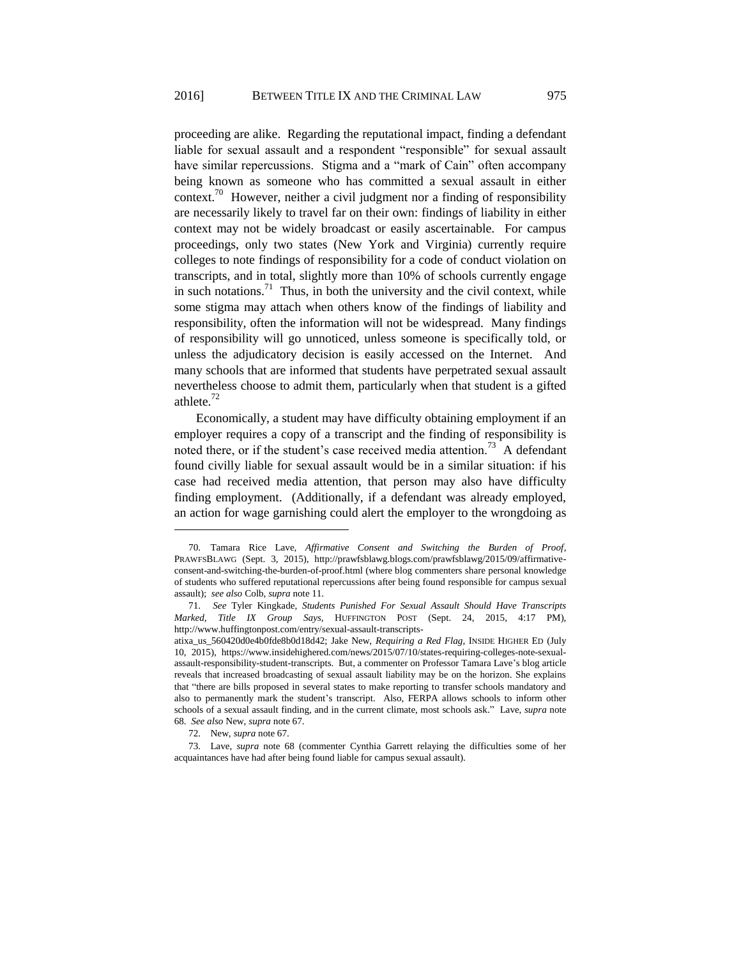proceeding are alike. Regarding the reputational impact, finding a defendant liable for sexual assault and a respondent "responsible" for sexual assault have similar repercussions. Stigma and a "mark of Cain" often accompany being known as someone who has committed a sexual assault in either context.<sup>70</sup> However, neither a civil judgment nor a finding of responsibility are necessarily likely to travel far on their own: findings of liability in either context may not be widely broadcast or easily ascertainable. For campus proceedings, only two states (New York and Virginia) currently require colleges to note findings of responsibility for a code of conduct violation on transcripts, and in total, slightly more than 10% of schools currently engage in such notations.<sup>71</sup> Thus, in both the university and the civil context, while some stigma may attach when others know of the findings of liability and responsibility, often the information will not be widespread. Many findings of responsibility will go unnoticed, unless someone is specifically told, or unless the adjudicatory decision is easily accessed on the Internet. And many schools that are informed that students have perpetrated sexual assault nevertheless choose to admit them, particularly when that student is a gifted athlete.<sup>72</sup>

Economically, a student may have difficulty obtaining employment if an employer requires a copy of a transcript and the finding of responsibility is noted there, or if the student's case received media attention.<sup>73</sup> A defendant found civilly liable for sexual assault would be in a similar situation: if his case had received media attention, that person may also have difficulty finding employment. (Additionally, if a defendant was already employed, an action for wage garnishing could alert the employer to the wrongdoing as

<sup>70.</sup> Tamara Rice Lave, *Affirmative Consent and Switching the Burden of Proof*, PRAWFSBLAWG (Sept. 3, 2015), http://prawfsblawg.blogs.com/prawfsblawg/2015/09/affirmativeconsent-and-switching-the-burden-of-proof.html (where blog commenters share personal knowledge of students who suffered reputational repercussions after being found responsible for campus sexual assault); *see also* Colb, *supra* note 11.

<sup>71.</sup> *See* Tyler Kingkade, *Students Punished For Sexual Assault Should Have Transcripts Marked, Title IX Group Says*, HUFFINGTON POST (Sept. 24, 2015, 4:17 PM), http://www.huffingtonpost.com/entry/sexual-assault-transcripts-

atixa\_us\_560420d0e4b0fde8b0d18d42; Jake New, *Requiring a Red Flag*, INSIDE HIGHER ED (July 10, 2015), https://www.insidehighered.com/news/2015/07/10/states-requiring-colleges-note-sexualassault-responsibility-student-transcripts. But, a commenter on Professor Tamara Lave's blog article reveals that increased broadcasting of sexual assault liability may be on the horizon. She explains that "there are bills proposed in several states to make reporting to transfer schools mandatory and also to permanently mark the student's transcript. Also, FERPA allows schools to inform other schools of a sexual assault finding, and in the current climate, most schools ask." Lave, *supra* note 68. *See also* New, *supra* note 67.

<sup>72.</sup> New, *supra* note 67.

<sup>73.</sup> Lave, *supra* note 68 (commenter Cynthia Garrett relaying the difficulties some of her acquaintances have had after being found liable for campus sexual assault).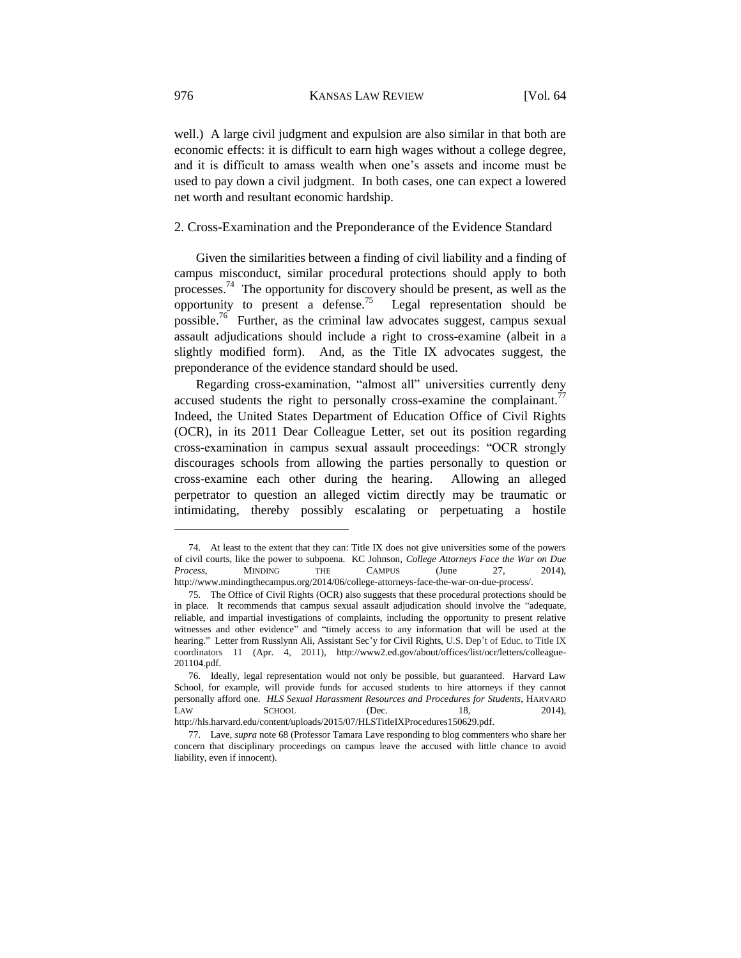well.) A large civil judgment and expulsion are also similar in that both are economic effects: it is difficult to earn high wages without a college degree, and it is difficult to amass wealth when one's assets and income must be used to pay down a civil judgment. In both cases, one can expect a lowered net worth and resultant economic hardship.

# 2. Cross-Examination and the Preponderance of the Evidence Standard

Given the similarities between a finding of civil liability and a finding of campus misconduct, similar procedural protections should apply to both processes.<sup>74</sup> The opportunity for discovery should be present, as well as the opportunity to present a defense.<sup>75</sup> Legal representation should be possible.<sup>76</sup> Further, as the criminal law advocates suggest, campus sexual assault adjudications should include a right to cross-examine (albeit in a slightly modified form). And, as the Title IX advocates suggest, the preponderance of the evidence standard should be used.

Regarding cross-examination, "almost all" universities currently deny accused students the right to personally cross-examine the complainant.<sup>77</sup> Indeed, the United States Department of Education Office of Civil Rights (OCR), in its 2011 Dear Colleague Letter, set out its position regarding cross-examination in campus sexual assault proceedings: "OCR strongly discourages schools from allowing the parties personally to question or cross-examine each other during the hearing. Allowing an alleged perpetrator to question an alleged victim directly may be traumatic or intimidating, thereby possibly escalating or perpetuating a hostile

<sup>74.</sup> At least to the extent that they can: Title IX does not give universities some of the powers of civil courts, like the power to subpoena. KC Johnson, *College Attorneys Face the War on Due Process*, MINDING THE CAMPUS (June 27, 2014), http://www.mindingthecampus.org/2014/06/college-attorneys-face-the-war-on-due-process/.

<sup>75.</sup> The Office of Civil Rights (OCR) also suggests that these procedural protections should be in place. It recommends that campus sexual assault adjudication should involve the "adequate, reliable, and impartial investigations of complaints, including the opportunity to present relative witnesses and other evidence" and "timely access to any information that will be used at the hearing." Letter from Russlynn Ali, Assistant Sec'y for Civil Rights, U.S. Dep't of Educ. to Title IX coordinators 11 (Apr. 4, 2011), http://www2.ed.gov/about/offices/list/ocr/letters/colleague-201104.pdf.

<sup>76.</sup> Ideally, legal representation would not only be possible, but guaranteed. Harvard Law School, for example, will provide funds for accused students to hire attorneys if they cannot personally afford one. *HLS Sexual Harassment Resources and Procedures for Students*, HARVARD LAW SCHOOL (Dec. 18, 2014), http://hls.harvard.edu/content/uploads/2015/07/HLSTitleIXProcedures150629.pdf.

<sup>77.</sup> Lave, *supra* note 68 (Professor Tamara Lave responding to blog commenters who share her concern that disciplinary proceedings on campus leave the accused with little chance to avoid liability, even if innocent).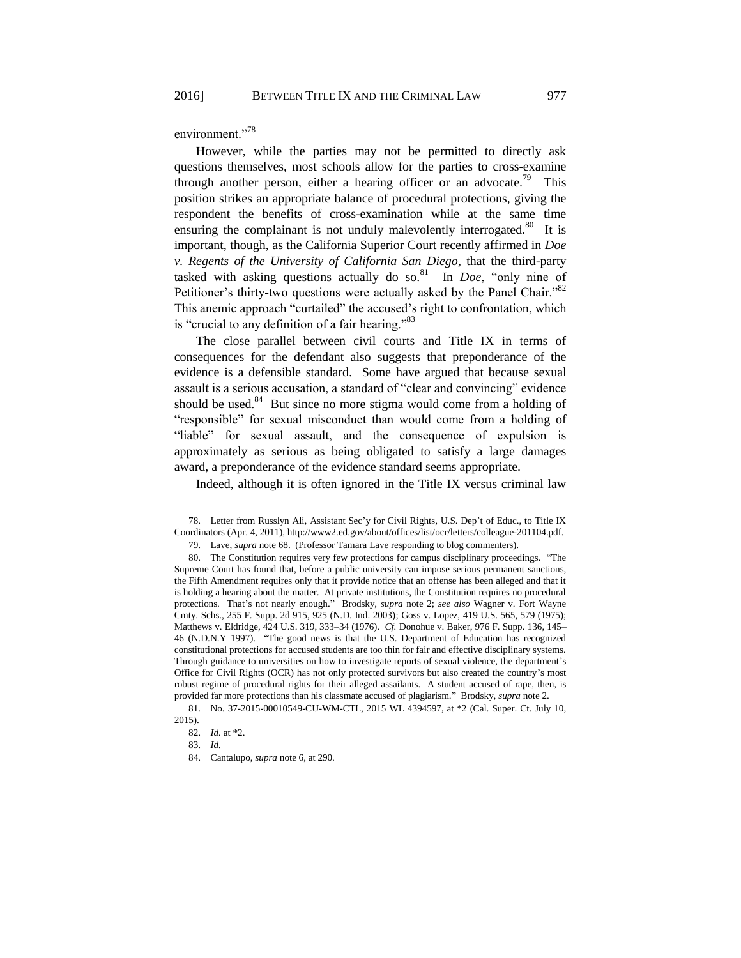environment."<sup>78</sup>

However, while the parties may not be permitted to directly ask questions themselves, most schools allow for the parties to cross-examine through another person, either a hearing officer or an advocate.<sup>79</sup> This position strikes an appropriate balance of procedural protections, giving the respondent the benefits of cross-examination while at the same time ensuring the complainant is not unduly malevolently interrogated.<sup>80</sup> It is important, though, as the California Superior Court recently affirmed in *Doe v. Regents of the University of California San Diego*, that the third-party tasked with asking questions actually do so.<sup>81</sup> In *Doe*, "only nine of Petitioner's thirty-two questions were actually asked by the Panel Chair."<sup>82</sup> This anemic approach "curtailed" the accused's right to confrontation, which is "crucial to any definition of a fair hearing." $83$ 

The close parallel between civil courts and Title IX in terms of consequences for the defendant also suggests that preponderance of the evidence is a defensible standard. Some have argued that because sexual assault is a serious accusation, a standard of "clear and convincing" evidence should be used. $84$  But since no more stigma would come from a holding of "responsible" for sexual misconduct than would come from a holding of "liable" for sexual assault, and the consequence of expulsion is approximately as serious as being obligated to satisfy a large damages award, a preponderance of the evidence standard seems appropriate.

Indeed, although it is often ignored in the Title IX versus criminal law

<sup>78.</sup> Letter from Russlyn Ali, Assistant Sec'y for Civil Rights, U.S. Dep't of Educ., to Title IX Coordinators (Apr. 4, 2011), http://www2.ed.gov/about/offices/list/ocr/letters/colleague-201104.pdf.

<sup>79.</sup> Lave, *supra* note 68. (Professor Tamara Lave responding to blog commenters).

<sup>80.</sup> The Constitution requires very few protections for campus disciplinary proceedings. "The Supreme Court has found that, before a public university can impose serious permanent sanctions, the Fifth Amendment requires only that it provide notice that an offense has been alleged and that it is holding a hearing about the matter. At private institutions, the Constitution requires no procedural protections. That's not nearly enough." Brodsky, *supra* note 2; *see also* Wagner v. Fort Wayne Cmty. Schs., 255 F. Supp. 2d 915, 925 (N.D. Ind. 2003); Goss v. Lopez, 419 U.S. 565, 579 (1975); Matthews v. Eldridge, 424 U.S. 319, 333–34 (1976). *Cf.* Donohue v. Baker, 976 F. Supp. 136, 145– 46 (N.D.N.Y 1997). "The good news is that the U.S. Department of Education has recognized constitutional protections for accused students are too thin for fair and effective disciplinary systems. Through guidance to universities on how to investigate reports of sexual violence, the department's Office for Civil Rights (OCR) has not only protected survivors but also created the country's most robust regime of procedural rights for their alleged assailants. A student accused of rape, then, is provided far more protections than his classmate accused of plagiarism." Brodsky, *supra* note 2.

<sup>81.</sup> No. 37-2015-00010549-CU-WM-CTL, 2015 WL 4394597, at \*2 (Cal. Super. Ct. July 10, 2015).

<sup>82.</sup> *Id.* at \*2.

<sup>83.</sup> *Id.*

<sup>84.</sup> Cantalupo, *supra* note 6, at 290.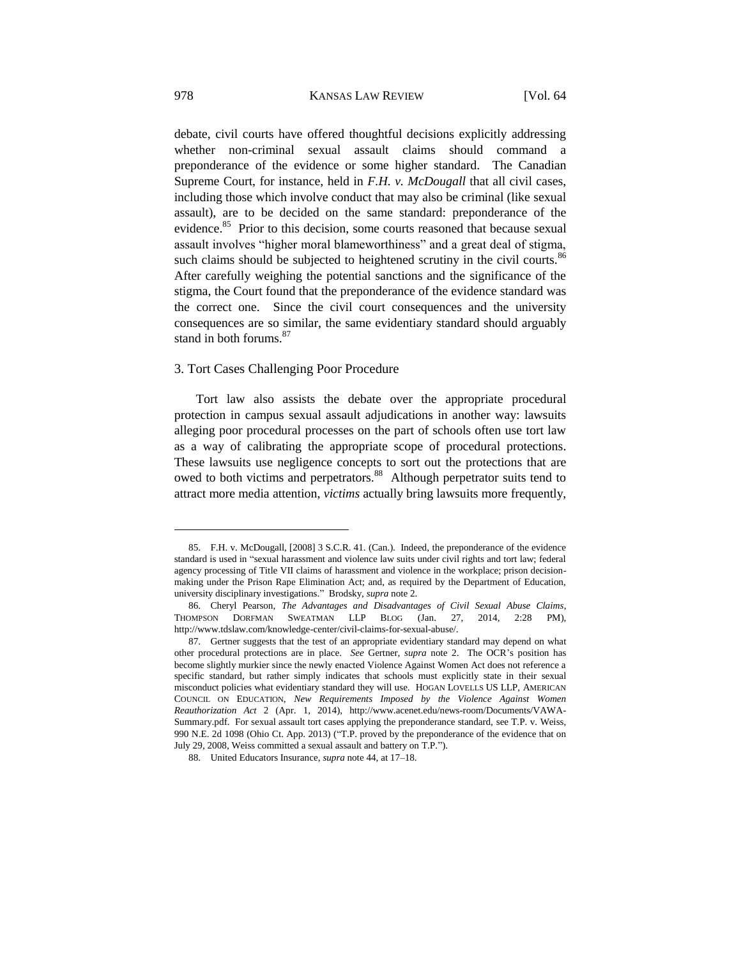debate, civil courts have offered thoughtful decisions explicitly addressing whether non-criminal sexual assault claims should command a preponderance of the evidence or some higher standard. The Canadian Supreme Court, for instance, held in *F.H. v. McDougall* that all civil cases, including those which involve conduct that may also be criminal (like sexual assault), are to be decided on the same standard: preponderance of the evidence.<sup>85</sup> Prior to this decision, some courts reasoned that because sexual assault involves "higher moral blameworthiness" and a great deal of stigma, such claims should be subjected to heightened scrutiny in the civil courts. $86$ After carefully weighing the potential sanctions and the significance of the stigma, the Court found that the preponderance of the evidence standard was the correct one. Since the civil court consequences and the university consequences are so similar, the same evidentiary standard should arguably stand in both forums. 87

# 3. Tort Cases Challenging Poor Procedure

Tort law also assists the debate over the appropriate procedural protection in campus sexual assault adjudications in another way: lawsuits alleging poor procedural processes on the part of schools often use tort law as a way of calibrating the appropriate scope of procedural protections. These lawsuits use negligence concepts to sort out the protections that are owed to both victims and perpetrators.<sup>88</sup> Although perpetrator suits tend to attract more media attention, *victims* actually bring lawsuits more frequently,

<sup>85.</sup> F.H. v. McDougall, [2008] 3 S.C.R. 41. (Can.). Indeed, the preponderance of the evidence standard is used in "sexual harassment and violence law suits under civil rights and tort law; federal agency processing of Title VII claims of harassment and violence in the workplace; prison decisionmaking under the Prison Rape Elimination Act; and, as required by the Department of Education, university disciplinary investigations." Brodsky, *supra* note 2.

<sup>86.</sup> Cheryl Pearson, *The Advantages and Disadvantages of Civil Sexual Abuse Claims*, THOMPSON DORFMAN SWEATMAN LLP BLOG (Jan. 27, 2014, 2:28 PM), http://www.tdslaw.com/knowledge-center/civil-claims-for-sexual-abuse/.

<sup>87.</sup> Gertner suggests that the test of an appropriate evidentiary standard may depend on what other procedural protections are in place. *See* Gertner, *supra* note 2. The OCR's position has become slightly murkier since the newly enacted Violence Against Women Act does not reference a specific standard, but rather simply indicates that schools must explicitly state in their sexual misconduct policies what evidentiary standard they will use. HOGAN LOVELLS US LLP, AMERICAN COUNCIL ON EDUCATION, *New Requirements Imposed by the Violence Against Women Reauthorization Act* 2 (Apr. 1, 2014), http://www.acenet.edu/news-room/Documents/VAWA-Summary.pdf. For sexual assault tort cases applying the preponderance standard, see T.P. v. Weiss, 990 N.E. 2d 1098 (Ohio Ct. App. 2013) ("T.P. proved by the preponderance of the evidence that on July 29, 2008, Weiss committed a sexual assault and battery on T.P.").

<sup>88.</sup> United Educators Insurance, *supra* note 44, at 17–18.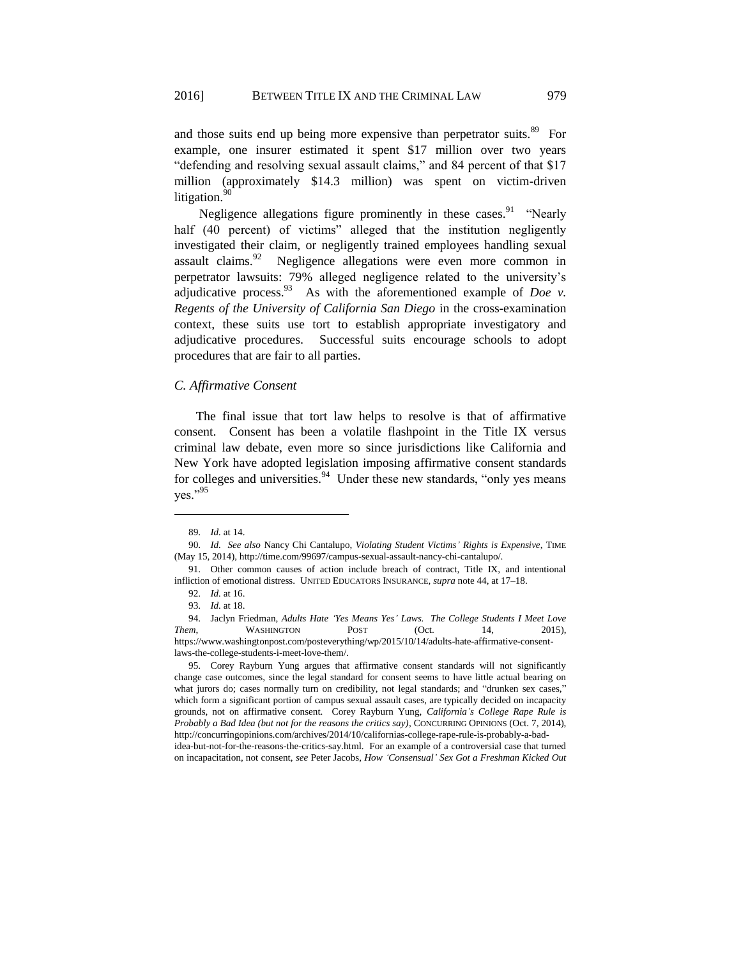and those suits end up being more expensive than perpetrator suits.<sup>89</sup> For example, one insurer estimated it spent \$17 million over two years "defending and resolving sexual assault claims," and 84 percent of that \$17 million (approximately \$14.3 million) was spent on victim-driven litigation.<sup>90</sup>

Negligence allegations figure prominently in these cases.<sup>91</sup> "Nearly half (40 percent) of victims" alleged that the institution negligently investigated their claim, or negligently trained employees handling sexual assault claims.<sup>92</sup> Negligence allegations were even more common in perpetrator lawsuits: 79% alleged negligence related to the university's adjudicative process.  $^{93}$  As with the aforementioned example of *Doe v*. *Regents of the University of California San Diego* in the cross-examination context, these suits use tort to establish appropriate investigatory and adjudicative procedures. Successful suits encourage schools to adopt procedures that are fair to all parties.

#### *C. Affirmative Consent*

The final issue that tort law helps to resolve is that of affirmative consent. Consent has been a volatile flashpoint in the Title IX versus criminal law debate, even more so since jurisdictions like California and New York have adopted legislation imposing affirmative consent standards for colleges and universities. $94$  Under these new standards, "only yes means" yes."<sup>95</sup>

<sup>89.</sup> *Id.* at 14.

<sup>90.</sup> *Id. See also* Nancy Chi Cantalupo, *Violating Student Victims' Rights is Expensive*, TIME (May 15, 2014), http://time.com/99697/campus-sexual-assault-nancy-chi-cantalupo/.

<sup>91.</sup> Other common causes of action include breach of contract, Title IX, and intentional infliction of emotional distress. UNITED EDUCATORS INSURANCE, *supra* note 44, at 17–18.

<sup>92.</sup> *Id.* at 16.

<sup>93.</sup> *Id.* at 18.

<sup>94.</sup> Jaclyn Friedman, *Adults Hate 'Yes Means Yes' Laws. The College Students I Meet Love Them*, WASHINGTON POST (Oct. 14, 2015), https://www.washingtonpost.com/posteverything/wp/2015/10/14/adults-hate-affirmative-consentlaws-the-college-students-i-meet-love-them/.

<sup>95.</sup> Corey Rayburn Yung argues that affirmative consent standards will not significantly change case outcomes, since the legal standard for consent seems to have little actual bearing on what jurors do; cases normally turn on credibility, not legal standards; and "drunken sex cases," which form a significant portion of campus sexual assault cases, are typically decided on incapacity grounds, not on affirmative consent. Corey Rayburn Yung, *California's College Rape Rule is Probably a Bad Idea (but not for the reasons the critics say)*, CONCURRING OPINIONS (Oct. 7, 2014), http://concurringopinions.com/archives/2014/10/californias-college-rape-rule-is-probably-a-badidea-but-not-for-the-reasons-the-critics-say.html. For an example of a controversial case that turned on incapacitation, not consent, *see* Peter Jacobs, *How 'Consensual' Sex Got a Freshman Kicked Out*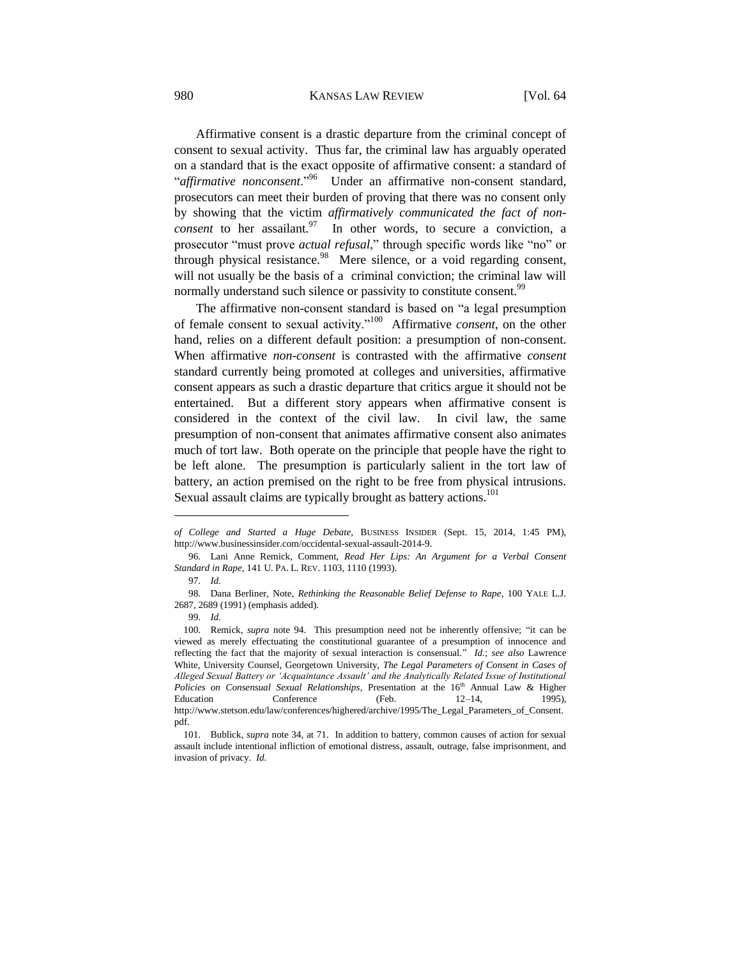#### 980 KANSAS LAW REVIEW [Vol. 64

Affirmative consent is a drastic departure from the criminal concept of consent to sexual activity. Thus far, the criminal law has arguably operated on a standard that is the exact opposite of affirmative consent: a standard of "*affirmative nonconsent*."<sup>96</sup> Under an affirmative non-consent standard, prosecutors can meet their burden of proving that there was no consent only by showing that the victim *affirmatively communicated the fact of nonconsent* to her assailant.  $97 \text{ In other words, to secure a conviction, a$ prosecutor "must prove *actual refusal*," through specific words like "no" or through physical resistance. $98$  Mere silence, or a void regarding consent, will not usually be the basis of a criminal conviction; the criminal law will normally understand such silence or passivity to constitute consent.<sup>99</sup>

The affirmative non-consent standard is based on "a legal presumption of female consent to sexual activity."<sup>100</sup> Affirmative *consent*, on the other hand, relies on a different default position: a presumption of non-consent. When affirmative *non-consent* is contrasted with the affirmative *consent* standard currently being promoted at colleges and universities, affirmative consent appears as such a drastic departure that critics argue it should not be entertained. But a different story appears when affirmative consent is considered in the context of the civil law. In civil law, the same presumption of non-consent that animates affirmative consent also animates much of tort law. Both operate on the principle that people have the right to be left alone. The presumption is particularly salient in the tort law of battery, an action premised on the right to be free from physical intrusions. Sexual assault claims are typically brought as battery actions.<sup>101</sup>

*of College and Started a Huge Debate*, BUSINESS INSIDER (Sept. 15, 2014, 1:45 PM), http://www.businessinsider.com/occidental-sexual-assault-2014-9.

<sup>96.</sup> Lani Anne Remick, Comment, *Read Her Lips: An Argument for a Verbal Consent Standard in Rape*, 141 U. PA. L. REV. 1103, 1110 (1993).

<sup>97.</sup> *Id.*

<sup>98.</sup> Dana Berliner, Note, *Rethinking the Reasonable Belief Defense to Rape*, 100 YALE L.J. 2687, 2689 (1991) (emphasis added).

<sup>99.</sup> *Id.*

<sup>100.</sup> Remick, *supra* note 94. This presumption need not be inherently offensive; "it can be viewed as merely effectuating the constitutional guarantee of a presumption of innocence and reflecting the fact that the majority of sexual interaction is consensual." *Id.*; *see also* Lawrence White, University Counsel, Georgetown University, *The Legal Parameters of Consent in Cases of Alleged Sexual Battery or 'Acquaintance Assault' and the Analytically Related Issue of Institutional*  Policies on Consensual Sexual Relationships, Presentation at the 16<sup>th</sup> Annual Law & Higher Education Conference (Feb. 12–14, 1995), http://www.stetson.edu/law/conferences/highered/archive/1995/The\_Legal\_Parameters\_of\_Consent. pdf.

<sup>101.</sup> Bublick, *supra* note 34, at 71. In addition to battery, common causes of action for sexual assault include intentional infliction of emotional distress, assault, outrage, false imprisonment, and invasion of privacy. *Id.*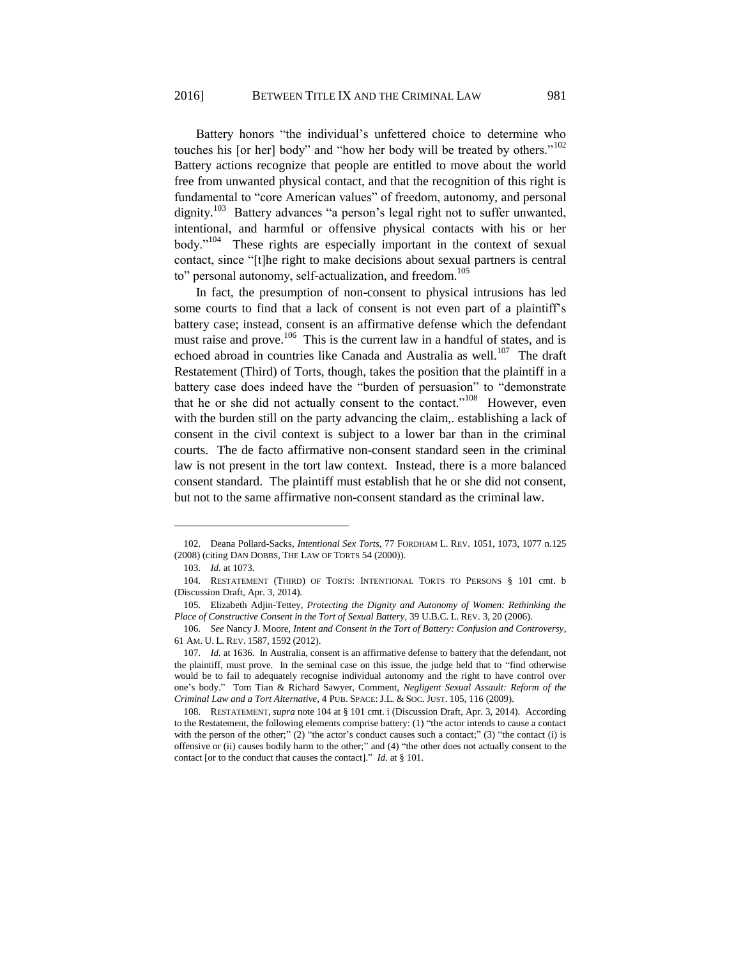Battery honors "the individual's unfettered choice to determine who touches his [or her] body" and "how her body will be treated by others."<sup>102</sup> Battery actions recognize that people are entitled to move about the world free from unwanted physical contact, and that the recognition of this right is fundamental to "core American values" of freedom, autonomy, and personal dignity.<sup>103</sup> Battery advances "a person's legal right not to suffer unwanted, intentional, and harmful or offensive physical contacts with his or her body."<sup>104</sup> These rights are especially important in the context of sexual contact, since "[t]he right to make decisions about sexual partners is central to" personal autonomy, self-actualization, and freedom.<sup>105</sup>

In fact, the presumption of non-consent to physical intrusions has led some courts to find that a lack of consent is not even part of a plaintiff's battery case; instead, consent is an affirmative defense which the defendant must raise and prove.<sup>106</sup> This is the current law in a handful of states, and is echoed abroad in countries like Canada and Australia as well.<sup>107</sup> The draft Restatement (Third) of Torts, though, takes the position that the plaintiff in a battery case does indeed have the "burden of persuasion" to "demonstrate that he or she did not actually consent to the contact."<sup>108</sup> However, even with the burden still on the party advancing the claim,. establishing a lack of consent in the civil context is subject to a lower bar than in the criminal courts. The de facto affirmative non-consent standard seen in the criminal law is not present in the tort law context. Instead, there is a more balanced consent standard. The plaintiff must establish that he or she did not consent, but not to the same affirmative non-consent standard as the criminal law.

<sup>102.</sup> Deana Pollard-Sacks, *Intentional Sex Torts*, 77 FORDHAM L. REV. 1051, 1073, 1077 n.125 (2008) (citing DAN DOBBS, THE LAW OF TORTS 54 (2000)).

<sup>103.</sup> *Id.* at 1073.

<sup>104.</sup> RESTATEMENT (THIRD) OF TORTS: INTENTIONAL TORTS TO PERSONS § 101 cmt. b (Discussion Draft, Apr. 3, 2014).

<sup>105.</sup> Elizabeth Adjin-Tettey, *Protecting the Dignity and Autonomy of Women: Rethinking the Place of Constructive Consent in the Tort of Sexual Battery*, 39 U.B.C. L. REV. 3, 20 (2006).

<sup>106.</sup> *See* Nancy J. Moore, *Intent and Consent in the Tort of Battery: Confusion and Controversy*, 61 AM. U. L. REV. 1587, 1592 (2012).

<sup>107.</sup> *Id.* at 1636. In Australia, consent is an affirmative defense to battery that the defendant, not the plaintiff, must prove. In the seminal case on this issue, the judge held that to "find otherwise would be to fail to adequately recognise individual autonomy and the right to have control over one's body." Tom Tian & Richard Sawyer, Comment, *Negligent Sexual Assault: Reform of the Criminal Law and a Tort Alternative*, 4 PUB. SPACE: J.L. & SOC. JUST. 105, 116 (2009).

<sup>108.</sup> RESTATEMENT, *supra* note 104 at § 101 cmt. i (Discussion Draft, Apr. 3, 2014). According to the Restatement, the following elements comprise battery: (1) "the actor intends to cause a contact with the person of the other;"  $(2)$  "the actor's conduct causes such a contact;"  $(3)$  "the contact (i) is offensive or (ii) causes bodily harm to the other;" and (4) "the other does not actually consent to the contact [or to the conduct that causes the contact]." *Id.* at § 101.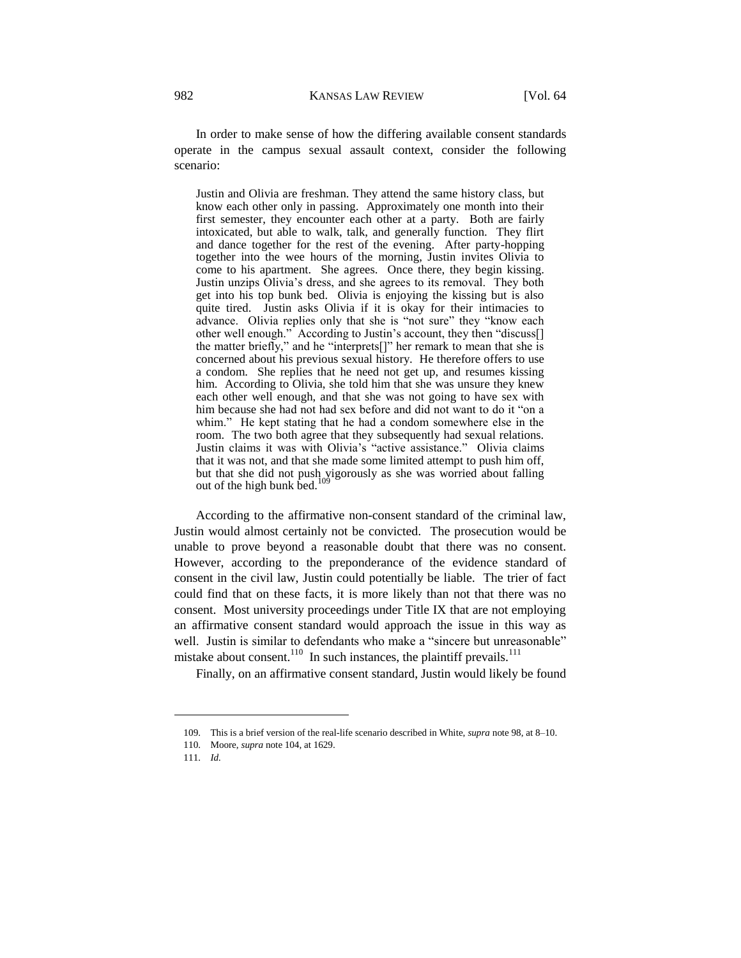In order to make sense of how the differing available consent standards operate in the campus sexual assault context, consider the following scenario:

Justin and Olivia are freshman. They attend the same history class, but know each other only in passing. Approximately one month into their first semester, they encounter each other at a party. Both are fairly intoxicated, but able to walk, talk, and generally function. They flirt and dance together for the rest of the evening. After party-hopping together into the wee hours of the morning, Justin invites Olivia to come to his apartment. She agrees. Once there, they begin kissing. Justin unzips Olivia's dress, and she agrees to its removal. They both get into his top bunk bed. Olivia is enjoying the kissing but is also quite tired. Justin asks Olivia if it is okay for their intimacies to advance. Olivia replies only that she is "not sure" they "know each other well enough." According to Justin's account, they then "discuss[] the matter briefly," and he "interprets[]" her remark to mean that she is concerned about his previous sexual history. He therefore offers to use a condom. She replies that he need not get up, and resumes kissing him. According to Olivia, she told him that she was unsure they knew each other well enough, and that she was not going to have sex with him because she had not had sex before and did not want to do it "on a whim." He kept stating that he had a condom somewhere else in the room. The two both agree that they subsequently had sexual relations. Justin claims it was with Olivia's "active assistance." Olivia claims that it was not, and that she made some limited attempt to push him off, but that she did not push vigorously as she was worried about falling out of the high bunk bed.

According to the affirmative non-consent standard of the criminal law, Justin would almost certainly not be convicted. The prosecution would be unable to prove beyond a reasonable doubt that there was no consent. However, according to the preponderance of the evidence standard of consent in the civil law, Justin could potentially be liable. The trier of fact could find that on these facts, it is more likely than not that there was no consent. Most university proceedings under Title IX that are not employing an affirmative consent standard would approach the issue in this way as well. Justin is similar to defendants who make a "sincere but unreasonable" mistake about consent.<sup>110</sup> In such instances, the plaintiff prevails.<sup>111</sup>

Finally, on an affirmative consent standard, Justin would likely be found

<sup>109.</sup> This is a brief version of the real-life scenario described in White, *supra* note 98, at 8–10.

<sup>110.</sup> Moore, *supra* note 104, at 1629.

<sup>111.</sup> *Id.*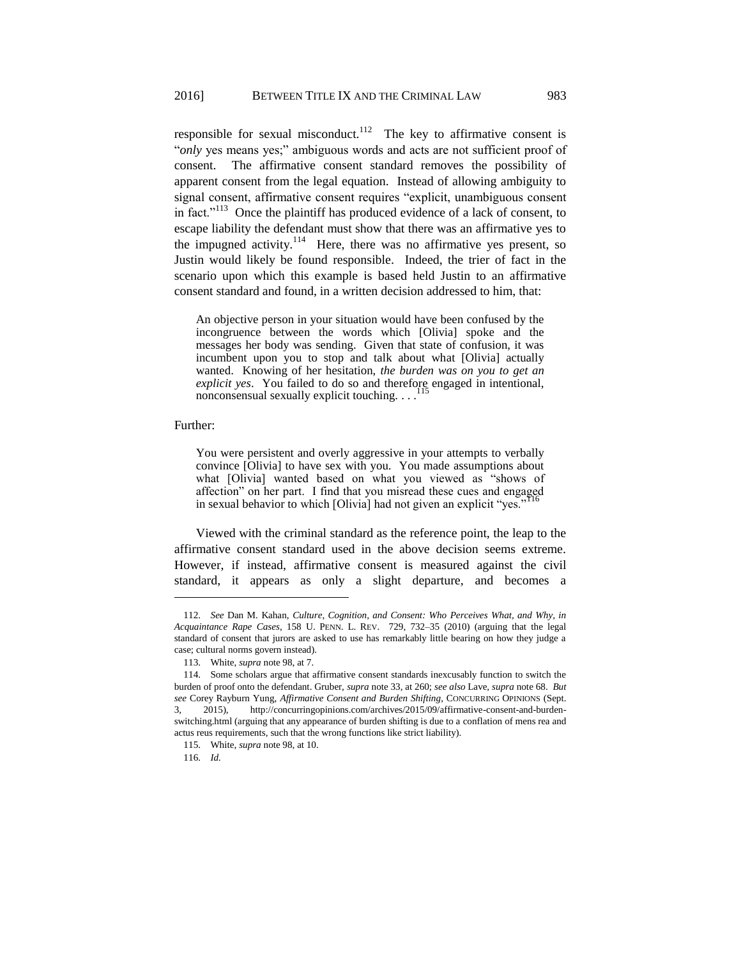responsible for sexual misconduct.<sup>112</sup> The key to affirmative consent is "*only* yes means yes;" ambiguous words and acts are not sufficient proof of consent. The affirmative consent standard removes the possibility of apparent consent from the legal equation. Instead of allowing ambiguity to signal consent, affirmative consent requires "explicit, unambiguous consent in fact."<sup>113</sup> Once the plaintiff has produced evidence of a lack of consent, to escape liability the defendant must show that there was an affirmative yes to the impugned activity.<sup>114</sup> Here, there was no affirmative yes present, so Justin would likely be found responsible. Indeed, the trier of fact in the scenario upon which this example is based held Justin to an affirmative consent standard and found, in a written decision addressed to him, that:

An objective person in your situation would have been confused by the incongruence between the words which [Olivia] spoke and the messages her body was sending. Given that state of confusion, it was incumbent upon you to stop and talk about what [Olivia] actually wanted. Knowing of her hesitation, *the burden was on you to get an*  explicit yes. You failed to do so and therefore engaged in intentional, nonconsensual sexually explicit touching. . . .

# Further:

 $\overline{a}$ 

You were persistent and overly aggressive in your attempts to verbally convince [Olivia] to have sex with you. You made assumptions about what [Olivia] wanted based on what you viewed as "shows of affection" on her part. I find that you misread these cues and engaged in sexual behavior to which [Olivia] had not given an explicit "yes."

Viewed with the criminal standard as the reference point, the leap to the affirmative consent standard used in the above decision seems extreme. However, if instead, affirmative consent is measured against the civil standard, it appears as only a slight departure, and becomes a

116. *Id.*

<sup>112.</sup> *See* Dan M. Kahan, *Culture, Cognition, and Consent: Who Perceives What, and Why, in Acquaintance Rape Cases*, 158 U. PENN. L. REV. 729, 732–35 (2010) (arguing that the legal standard of consent that jurors are asked to use has remarkably little bearing on how they judge a case; cultural norms govern instead).

<sup>113.</sup> White, *supra* note 98, at 7.

<sup>114.</sup> Some scholars argue that affirmative consent standards inexcusably function to switch the burden of proof onto the defendant. Gruber, *supra* note 33, at 260; *see also* Lave, *supra* note 68. *But see* Corey Rayburn Yung, *Affirmative Consent and Burden Shifting*, CONCURRING OPINIONS (Sept. 3, 2015), http://concurringopinions.com/archives/2015/09/affirmative-consent-and-burdenswitching.html (arguing that any appearance of burden shifting is due to a conflation of mens rea and actus reus requirements, such that the wrong functions like strict liability).

<sup>115.</sup> White, *supra* note 98, at 10.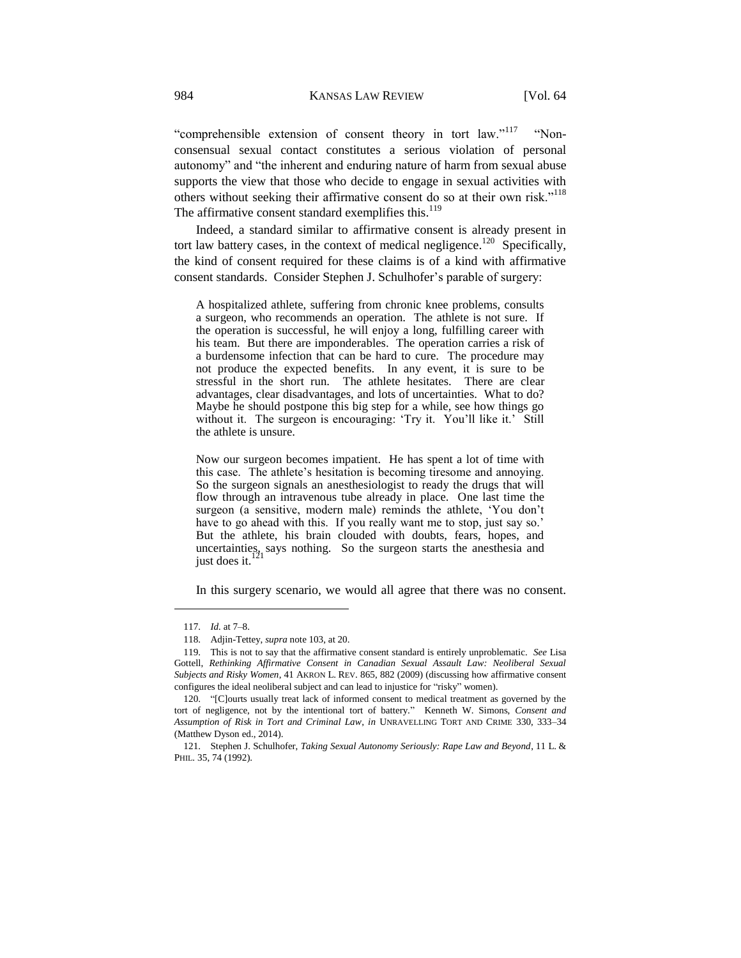"comprehensible extension of consent theory in tort law."<sup>117</sup> "Nonconsensual sexual contact constitutes a serious violation of personal autonomy" and "the inherent and enduring nature of harm from sexual abuse supports the view that those who decide to engage in sexual activities with others without seeking their affirmative consent do so at their own risk."<sup>118</sup> The affirmative consent standard exemplifies this. $119$ 

Indeed, a standard similar to affirmative consent is already present in tort law battery cases, in the context of medical negligence.<sup>120</sup> Specifically, the kind of consent required for these claims is of a kind with affirmative consent standards. Consider Stephen J. Schulhofer's parable of surgery:

A hospitalized athlete, suffering from chronic knee problems, consults a surgeon, who recommends an operation. The athlete is not sure. If the operation is successful, he will enjoy a long, fulfilling career with his team. But there are imponderables. The operation carries a risk of a burdensome infection that can be hard to cure. The procedure may not produce the expected benefits. In any event, it is sure to be stressful in the short run. The athlete hesitates. There are clear advantages, clear disadvantages, and lots of uncertainties. What to do? Maybe he should postpone this big step for a while, see how things go without it. The surgeon is encouraging: 'Try it. You'll like it.' Still the athlete is unsure.

Now our surgeon becomes impatient. He has spent a lot of time with this case. The athlete's hesitation is becoming tiresome and annoying. So the surgeon signals an anesthesiologist to ready the drugs that will flow through an intravenous tube already in place. One last time the surgeon (a sensitive, modern male) reminds the athlete, 'You don't have to go ahead with this. If you really want me to stop, just say so.' But the athlete, his brain clouded with doubts, fears, hopes, and uncertainties, says nothing. So the surgeon starts the anesthesia and just does it.

In this surgery scenario, we would all agree that there was no consent.

<sup>117.</sup> *Id.* at 7–8.

<sup>118.</sup> Adjin-Tettey, *supra* note 103, at 20.

<sup>119.</sup> This is not to say that the affirmative consent standard is entirely unproblematic. *See* Lisa Gottell, *Rethinking Affirmative Consent in Canadian Sexual Assault Law: Neoliberal Sexual Subjects and Risky Women*, 41 AKRON L. REV. 865, 882 (2009) (discussing how affirmative consent configures the ideal neoliberal subject and can lead to injustice for "risky" women).

<sup>120.</sup> "[C]ourts usually treat lack of informed consent to medical treatment as governed by the tort of negligence, not by the intentional tort of battery." Kenneth W. Simons, *Consent and Assumption of Risk in Tort and Criminal Law*, *in* UNRAVELLING TORT AND CRIME 330, 333–34 (Matthew Dyson ed., 2014).

<sup>121.</sup> Stephen J. Schulhofer, *Taking Sexual Autonomy Seriously: Rape Law and Beyond*, 11 L. & PHIL. 35, 74 (1992).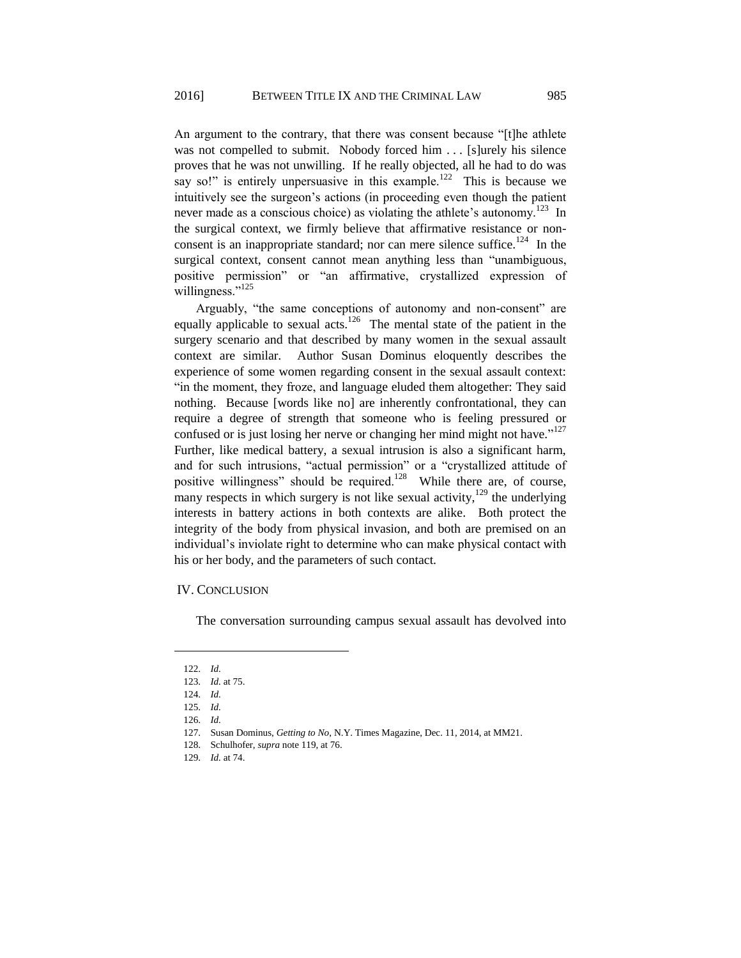An argument to the contrary, that there was consent because "[t]he athlete was not compelled to submit. Nobody forced him . . . [s]urely his silence proves that he was not unwilling. If he really objected, all he had to do was say so!" is entirely unpersuasive in this example.<sup>122</sup> This is because we intuitively see the surgeon's actions (in proceeding even though the patient never made as a conscious choice) as violating the athlete's autonomy.<sup>123</sup> In the surgical context, we firmly believe that affirmative resistance or nonconsent is an inappropriate standard; nor can mere silence suffice.<sup>124</sup> In the surgical context, consent cannot mean anything less than "unambiguous, positive permission" or "an affirmative, crystallized expression of willingness."<sup>125</sup>

Arguably, "the same conceptions of autonomy and non-consent" are equally applicable to sexual acts.<sup>126</sup> The mental state of the patient in the surgery scenario and that described by many women in the sexual assault context are similar. Author Susan Dominus eloquently describes the experience of some women regarding consent in the sexual assault context: "in the moment, they froze, and language eluded them altogether: They said nothing. Because [words like no] are inherently confrontational, they can require a degree of strength that someone who is feeling pressured or confused or is just losing her nerve or changing her mind might not have."<sup>127</sup> Further, like medical battery, a sexual intrusion is also a significant harm, and for such intrusions, "actual permission" or a "crystallized attitude of positive willingness" should be required.<sup>128</sup> While there are, of course, many respects in which surgery is not like sexual activity, $129$  the underlying interests in battery actions in both contexts are alike. Both protect the integrity of the body from physical invasion, and both are premised on an individual's inviolate right to determine who can make physical contact with his or her body, and the parameters of such contact.

#### IV. CONCLUSION

The conversation surrounding campus sexual assault has devolved into

<sup>122.</sup> *Id.*

<sup>123.</sup> *Id.* at 75.

<sup>124.</sup> *Id.*

<sup>125.</sup> *Id.*

<sup>126.</sup> *Id.*

<sup>127.</sup> Susan Dominus, *Getting to No*, N.Y. Times Magazine, Dec. 11, 2014, at MM21.

<sup>128.</sup> Schulhofer, *supra* note 119, at 76.

<sup>129.</sup> *Id.* at 74.